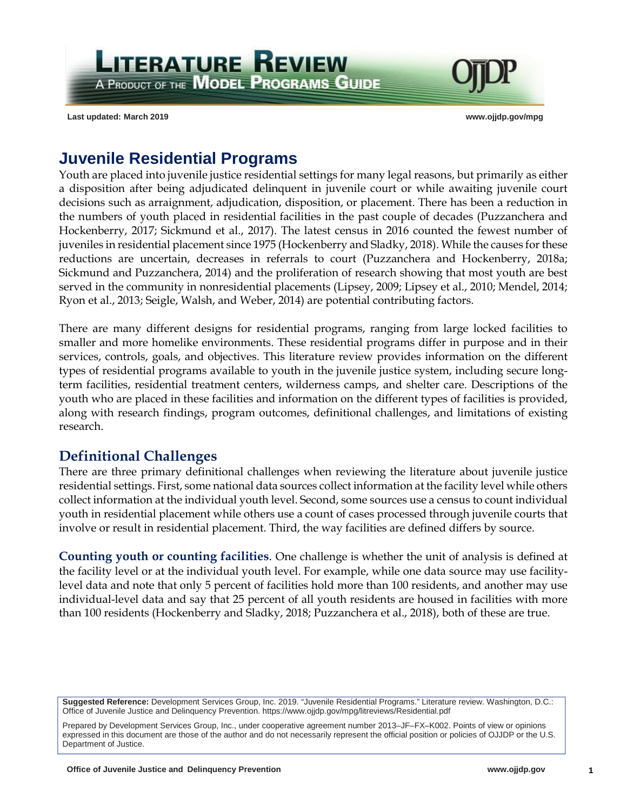**LITERATURE REVIEW** A PRODUCT OF THE **MODEL PROGRAMS GUIDE** 

**Last updated: March 2019 www.ojjdp.gov/mpg**



# **Juvenile Residential Programs**

Youth are placed into juvenile justice residential settings for many legal reasons, but primarily as either a disposition after being adjudicated delinquent in juvenile court or while awaiting juvenile court decisions such as arraignment, adjudication, disposition, or placement. There has been a reduction in the numbers of youth placed in residential facilities in the past couple of decades (Puzzanchera and Hockenberry, 2017; Sickmund et al., 2017). The latest census in 2016 counted the fewest number of juveniles in residential placement since 1975 (Hockenberry and Sladky, 2018). While the causes for these reductions are uncertain, decreases in referrals to court (Puzzanchera and Hockenberry, 2018a; Sickmund and Puzzanchera, 2014) and the proliferation of research showing that most youth are best served in the community in nonresidential placements (Lipsey, 2009; Lipsey et al., 2010; Mendel, 2014; Ryon et al., 2013; Seigle, Walsh, and Weber, 2014) are potential contributing factors.

There are many different designs for residential programs, ranging from large locked facilities to smaller and more homelike environments. These residential programs differ in purpose and in their services, controls, goals, and objectives. This literature review provides information on the different types of residential programs available to youth in the juvenile justice system, including secure longterm facilities, residential treatment centers, wilderness camps, and shelter care. Descriptions of the youth who are placed in these facilities and information on the different types of facilities is provided, along with research findings, program outcomes, definitional challenges, and limitations of existing research.

### **Definitional Challenges**

There are three primary definitional challenges when reviewing the literature about juvenile justice residential settings. First, some national data sources collect information at the facility level while others collect information at the individual youth level. Second, some sources use a census to count individual youth in residential placement while others use a count of cases processed through juvenile courts that involve or result in residential placement. Third, the way facilities are defined differs by source.

**Counting youth or counting facilities**. One challenge is whether the unit of analysis is defined at the facility level or at the individual youth level. For example, while one data source may use facilitylevel data and note that only 5 percent of facilities hold more than 100 residents, and another may use individual-level data and say that 25 percent of all youth residents are housed in facilities with more than 100 residents (Hockenberry and Sladky, 2018; Puzzanchera et al., 2018), both of these are true.

**Suggested Reference:** Development Services Group, Inc. 2019. "Juvenile Residential Programs." Literature review. Washington, D.C.: Office of Juvenile Justice and Delinquency Prevention. https://www.ojjdp.gov/mpg/litreviews/Residential.pdf

Prepared by Development Services Group, Inc., under cooperative agreement number 2013–JF–FX–K002. Points of view or opinions expressed in this document are those of the author and do not necessarily represent the official position or policies of OJJDP or the U.S. Department of Justice.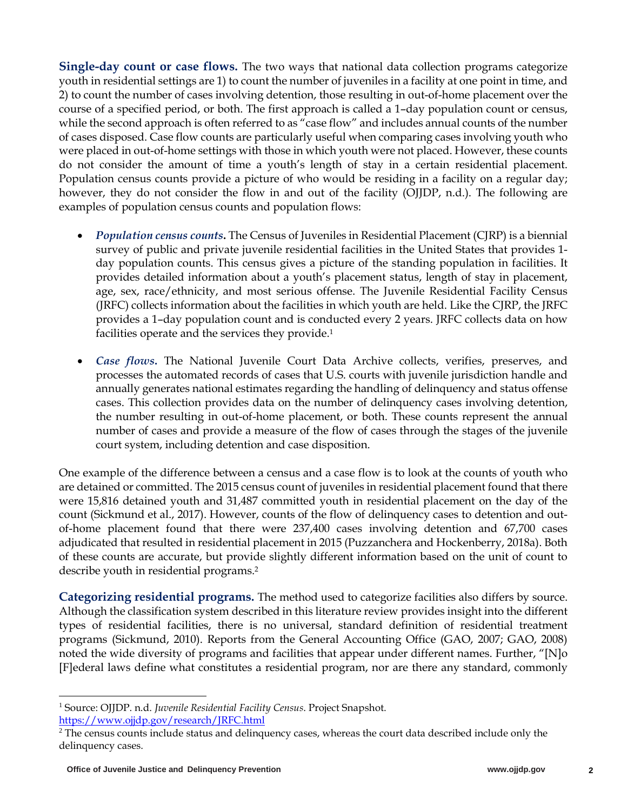**Single-day count or case flows.** The two ways that national data collection programs categorize youth in residential settings are 1) to count the number of juveniles in a facility at one point in time, and 2) to count the number of cases involving detention, those resulting in out-of-home placement over the course of a specified period, or both. The first approach is called a 1–day population count or census, while the second approach is often referred to as "case flow" and includes annual counts of the number of cases disposed. Case flow counts are particularly useful when comparing cases involving youth who were placed in out-of-home settings with those in which youth were not placed. However, these counts do not consider the amount of time a youth's length of stay in a certain residential placement. Population census counts provide a picture of who would be residing in a facility on a regular day; however, they do not consider the flow in and out of the facility (OJJDP, n.d.). The following are examples of population census counts and population flows:

- *Population census counts***.** The Census of Juveniles in Residential Placement (CJRP) is a biennial survey of public and private juvenile residential facilities in the United States that provides 1 day population counts. This census gives a picture of the standing population in facilities. It provides detailed information about a youth's placement status, length of stay in placement, age, sex, race/ethnicity, and most serious offense. The Juvenile Residential Facility Census (JRFC) collects information about the facilities in which youth are held. Like the CJRP, the JRFC provides a 1–day population count and is conducted every 2 years. JRFC collects data on how facilities operate and the services they provide.<sup>1</sup>
- *Case flows***.** The National Juvenile Court Data Archive collects, verifies, preserves, and processes the automated records of cases that U.S. courts with juvenile jurisdiction handle and annually generates national estimates regarding the handling of delinquency and status offense cases. This collection provides data on the number of delinquency cases involving detention, the number resulting in out-of-home placement, or both. These counts represent the annual number of cases and provide a measure of the flow of cases through the stages of the juvenile court system, including detention and case disposition.

One example of the difference between a census and a case flow is to look at the counts of youth who are detained or committed. The 2015 census count of juveniles in residential placement found that there were 15,816 detained youth and 31,487 committed youth in residential placement on the day of the count (Sickmund et al., 2017). However, counts of the flow of delinquency cases to detention and outof-home placement found that there were 237,400 cases involving detention and 67,700 cases adjudicated that resulted in residential placement in 2015 (Puzzanchera and Hockenberry, 2018a). Both of these counts are accurate, but provide slightly different information based on the unit of count to describe youth in residential programs.<sup>2</sup>

**Categorizing residential programs.** The method used to categorize facilities also differs by source. Although the classification system described in this literature review provides insight into the different types of residential facilities, there is no universal, standard definition of residential treatment programs (Sickmund, 2010). Reports from the General Accounting Office (GAO, 2007; GAO, 2008) noted the wide diversity of programs and facilities that appear under different names. Further, "[N]o [F]ederal laws define what constitutes a residential program, nor are there any standard, commonly

<sup>1</sup> Source: OJJDP. n.d. *Juvenile Residential Facility Census*. Project Snapshot. https://www.ojjdp.gov/research/JRFC.html

<sup>&</sup>lt;sup>2</sup> The census counts include status and delinquency cases, whereas the court data described include only the delinquency cases.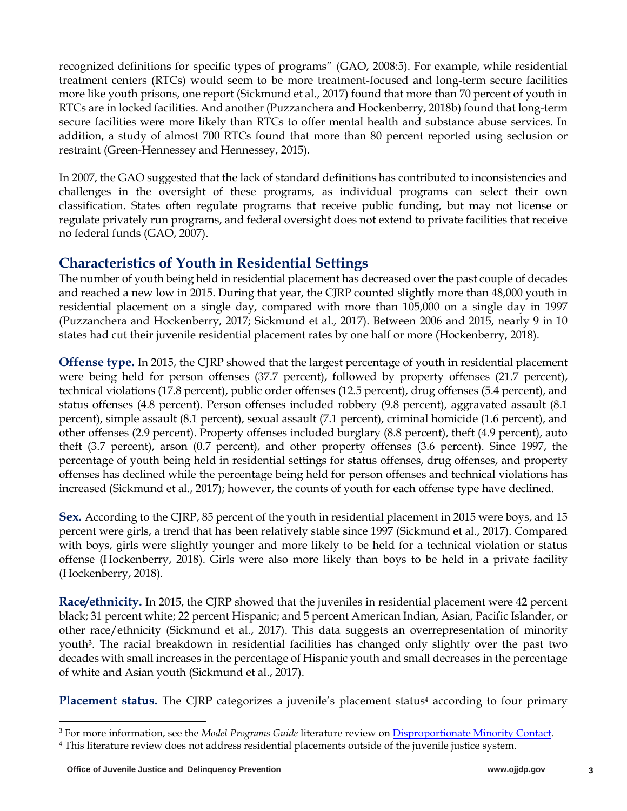recognized definitions for specific types of programs" (GAO, 2008:5). For example, while residential treatment centers (RTCs) would seem to be more treatment-focused and long-term secure facilities more like youth prisons, one report (Sickmund et al., 2017) found that more than 70 percent of youth in RTCs are in locked facilities. And another (Puzzanchera and Hockenberry, 2018b) found that long-term secure facilities were more likely than RTCs to offer mental health and substance abuse services. In addition, a study of almost 700 RTCs found that more than 80 percent reported using seclusion or restraint (Green-Hennessey and Hennessey, 2015).

In 2007, the GAO suggested that the lack of standard definitions has contributed to inconsistencies and challenges in the oversight of these programs, as individual programs can select their own classification. States often regulate programs that receive public funding, but may not license or regulate privately run programs, and federal oversight does not extend to private facilities that receive no federal funds (GAO, 2007).

# **Characteristics of Youth in Residential Settings**

The number of youth being held in residential placement has decreased over the past couple of decades and reached a new low in 2015. During that year, the CJRP counted slightly more than 48,000 youth in residential placement on a single day, compared with more than 105,000 on a single day in 1997 (Puzzanchera and Hockenberry, 2017; Sickmund et al., 2017). Between 2006 and 2015, nearly 9 in 10 states had cut their juvenile residential placement rates by one half or more (Hockenberry, 2018).

**Offense type.** In 2015, the CJRP showed that the largest percentage of youth in residential placement were being held for person offenses (37.7 percent), followed by property offenses (21.7 percent), technical violations (17.8 percent), public order offenses (12.5 percent), drug offenses (5.4 percent), and status offenses (4.8 percent). Person offenses included robbery (9.8 percent), aggravated assault (8.1 percent), simple assault (8.1 percent), sexual assault (7.1 percent), criminal homicide (1.6 percent), and other offenses (2.9 percent). Property offenses included burglary (8.8 percent), theft (4.9 percent), auto theft (3.7 percent), arson (0.7 percent), and other property offenses (3.6 percent). Since 1997, the percentage of youth being held in residential settings for status offenses, drug offenses, and property offenses has declined while the percentage being held for person offenses and technical violations has increased (Sickmund et al., 2017); however, the counts of youth for each offense type have declined.

**Sex.** According to the CJRP, 85 percent of the youth in residential placement in 2015 were boys, and 15 percent were girls, a trend that has been relatively stable since 1997 (Sickmund et al., 2017). Compared with boys, girls were slightly younger and more likely to be held for a technical violation or status offense (Hockenberry, 2018). Girls were also more likely than boys to be held in a private facility (Hockenberry, 2018).

**Race/ethnicity.** In 2015, the CJRP showed that the juveniles in residential placement were 42 percent black; 31 percent white; 22 percent Hispanic; and 5 percent American Indian, Asian, Pacific Islander, or other race/ethnicity (Sickmund et al., 2017). This data suggests an overrepresentation of minority youth3. The racial breakdown in residential facilities has changed only slightly over the past two decades with small increases in the percentage of Hispanic youth and small decreases in the percentage of white and Asian youth (Sickmund et al., 2017).

**Placement status.** The CJRP categorizes a juvenile's placement status<sup>4</sup> according to four primary

<sup>3</sup> For more information, see the *Model Programs Guide* literature review on Disproportionate Minority Contact.

<sup>4</sup> This literature review does not address residential placements outside of the juvenile justice system.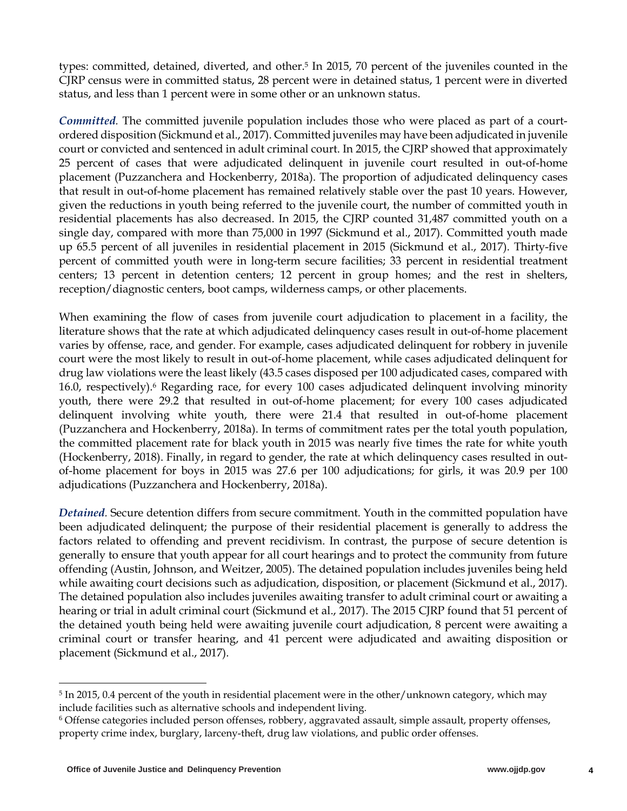types: committed, detained, diverted, and other.5 In 2015, 70 percent of the juveniles counted in the CJRP census were in committed status, 28 percent were in detained status, 1 percent were in diverted status, and less than 1 percent were in some other or an unknown status.

*Committed.* The committed juvenile population includes those who were placed as part of a courtordered disposition (Sickmund et al., 2017). Committed juveniles may have been adjudicated in juvenile court or convicted and sentenced in adult criminal court. In 2015, the CJRP showed that approximately 25 percent of cases that were adjudicated delinquent in juvenile court resulted in out-of-home placement (Puzzanchera and Hockenberry, 2018a). The proportion of adjudicated delinquency cases that result in out-of-home placement has remained relatively stable over the past 10 years. However, given the reductions in youth being referred to the juvenile court, the number of committed youth in residential placements has also decreased. In 2015, the CJRP counted 31,487 committed youth on a single day, compared with more than 75,000 in 1997 (Sickmund et al., 2017). Committed youth made up 65.5 percent of all juveniles in residential placement in 2015 (Sickmund et al., 2017). Thirty-five percent of committed youth were in long-term secure facilities; 33 percent in residential treatment centers; 13 percent in detention centers; 12 percent in group homes; and the rest in shelters, reception/diagnostic centers, boot camps, wilderness camps, or other placements.

When examining the flow of cases from juvenile court adjudication to placement in a facility, the literature shows that the rate at which adjudicated delinquency cases result in out-of-home placement varies by offense, race, and gender. For example, cases adjudicated delinquent for robbery in juvenile court were the most likely to result in out-of-home placement, while cases adjudicated delinquent for drug law violations were the least likely (43.5 cases disposed per 100 adjudicated cases, compared with 16.0, respectively).6 Regarding race, for every 100 cases adjudicated delinquent involving minority youth, there were 29.2 that resulted in out-of-home placement; for every 100 cases adjudicated delinquent involving white youth, there were 21.4 that resulted in out-of-home placement (Puzzanchera and Hockenberry, 2018a). In terms of commitment rates per the total youth population, the committed placement rate for black youth in 2015 was nearly five times the rate for white youth (Hockenberry, 2018). Finally, in regard to gender, the rate at which delinquency cases resulted in outof-home placement for boys in 2015 was 27.6 per 100 adjudications; for girls, it was 20.9 per 100 adjudications (Puzzanchera and Hockenberry, 2018a).

*Detained.* Secure detention differs from secure commitment. Youth in the committed population have been adjudicated delinquent; the purpose of their residential placement is generally to address the factors related to offending and prevent recidivism. In contrast, the purpose of secure detention is generally to ensure that youth appear for all court hearings and to protect the community from future offending (Austin, Johnson, and Weitzer, 2005). The detained population includes juveniles being held while awaiting court decisions such as adjudication, disposition, or placement (Sickmund et al., 2017). The detained population also includes juveniles awaiting transfer to adult criminal court or awaiting a hearing or trial in adult criminal court (Sickmund et al., 2017). The 2015 CJRP found that 51 percent of the detained youth being held were awaiting juvenile court adjudication, 8 percent were awaiting a criminal court or transfer hearing, and 41 percent were adjudicated and awaiting disposition or placement (Sickmund et al., 2017).

<sup>&</sup>lt;sup>5</sup> In 2015, 0.4 percent of the youth in residential placement were in the other/unknown category, which may include facilities such as alternative schools and independent living.

<sup>6</sup> Offense categories included person offenses, robbery, aggravated assault, simple assault, property offenses, property crime index, burglary, larceny-theft, drug law violations, and public order offenses.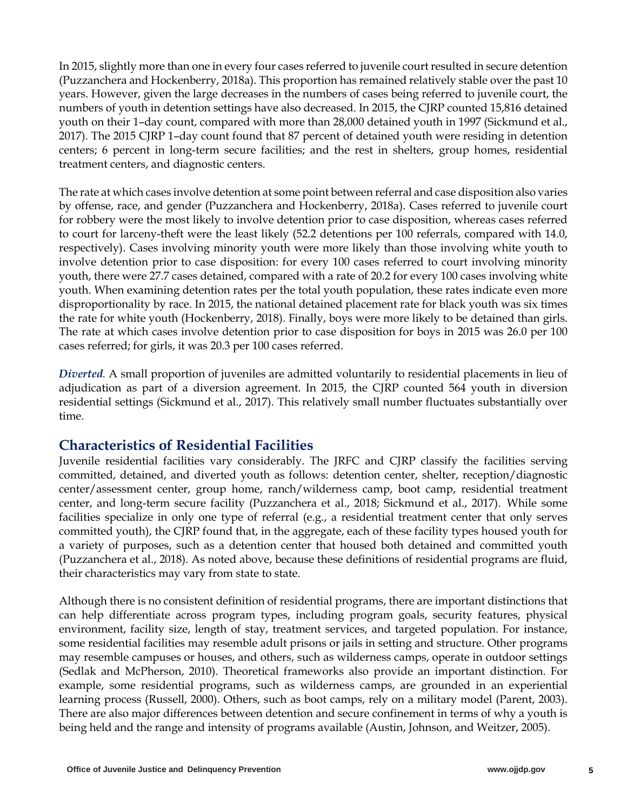In 2015, slightly more than one in every four cases referred to juvenile court resulted in secure detention (Puzzanchera and Hockenberry, 2018a). This proportion has remained relatively stable over the past 10 years. However, given the large decreases in the numbers of cases being referred to juvenile court, the numbers of youth in detention settings have also decreased. In 2015, the CJRP counted 15,816 detained youth on their 1–day count, compared with more than 28,000 detained youth in 1997 (Sickmund et al., 2017). The 2015 CJRP 1–day count found that 87 percent of detained youth were residing in detention centers; 6 percent in long-term secure facilities; and the rest in shelters, group homes, residential treatment centers, and diagnostic centers.

The rate at which cases involve detention at some point between referral and case disposition also varies by offense, race, and gender (Puzzanchera and Hockenberry, 2018a). Cases referred to juvenile court for robbery were the most likely to involve detention prior to case disposition, whereas cases referred to court for larceny-theft were the least likely (52.2 detentions per 100 referrals, compared with 14.0, respectively). Cases involving minority youth were more likely than those involving white youth to involve detention prior to case disposition: for every 100 cases referred to court involving minority youth, there were 27.7 cases detained, compared with a rate of 20.2 for every 100 cases involving white youth. When examining detention rates per the total youth population, these rates indicate even more disproportionality by race. In 2015, the national detained placement rate for black youth was six times the rate for white youth (Hockenberry, 2018). Finally, boys were more likely to be detained than girls. The rate at which cases involve detention prior to case disposition for boys in 2015 was 26.0 per 100 cases referred; for girls, it was 20.3 per 100 cases referred.

*Diverted.* A small proportion of juveniles are admitted voluntarily to residential placements in lieu of adjudication as part of a diversion agreement. In 2015, the CJRP counted 564 youth in diversion residential settings (Sickmund et al., 2017). This relatively small number fluctuates substantially over time.

### **Characteristics of Residential Facilities**

Juvenile residential facilities vary considerably. The JRFC and CJRP classify the facilities serving committed, detained, and diverted youth as follows: detention center, shelter, reception/diagnostic center/assessment center, group home, ranch/wilderness camp, boot camp, residential treatment center, and long-term secure facility (Puzzanchera et al., 2018; Sickmund et al., 2017). While some facilities specialize in only one type of referral (e.g., a residential treatment center that only serves committed youth), the CJRP found that, in the aggregate, each of these facility types housed youth for a variety of purposes, such as a detention center that housed both detained and committed youth (Puzzanchera et al., 2018). As noted above, because these definitions of residential programs are fluid, their characteristics may vary from state to state.

Although there is no consistent definition of residential programs, there are important distinctions that can help differentiate across program types, including program goals, security features, physical environment, facility size, length of stay, treatment services, and targeted population. For instance, some residential facilities may resemble adult prisons or jails in setting and structure. Other programs may resemble campuses or houses, and others, such as wilderness camps, operate in outdoor settings (Sedlak and McPherson, 2010). Theoretical frameworks also provide an important distinction. For example, some residential programs, such as wilderness camps, are grounded in an experiential learning process (Russell, 2000). Others, such as boot camps, rely on a military model (Parent, 2003). There are also major differences between detention and secure confinement in terms of why a youth is being held and the range and intensity of programs available (Austin, Johnson, and Weitzer, 2005).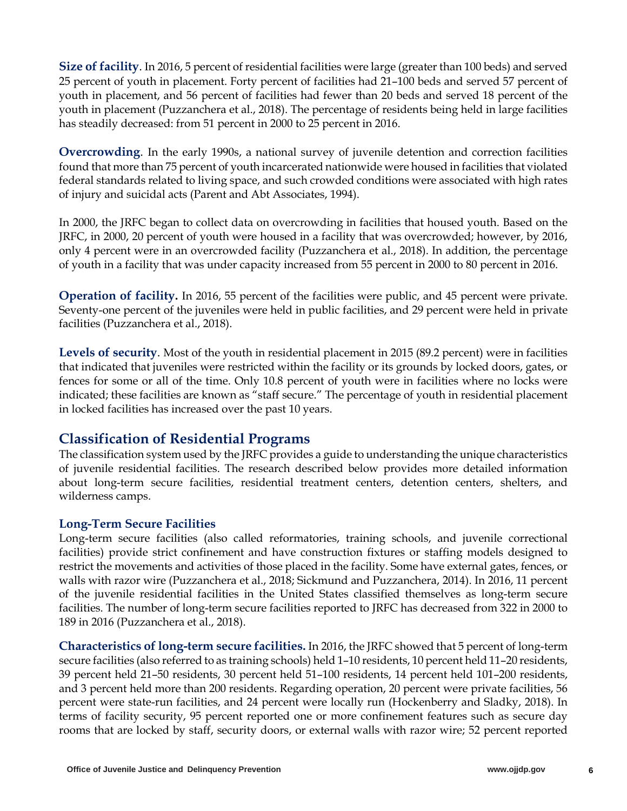**Size of facility**. In 2016, 5 percent of residential facilities were large (greater than 100 beds) and served 25 percent of youth in placement. Forty percent of facilities had 21–100 beds and served 57 percent of youth in placement, and 56 percent of facilities had fewer than 20 beds and served 18 percent of the youth in placement (Puzzanchera et al., 2018). The percentage of residents being held in large facilities has steadily decreased: from 51 percent in 2000 to 25 percent in 2016.

**Overcrowding**. In the early 1990s, a national survey of juvenile detention and correction facilities found that more than 75 percent of youth incarcerated nationwide were housed in facilities that violated federal standards related to living space, and such crowded conditions were associated with high rates of injury and suicidal acts (Parent and Abt Associates, 1994).

In 2000, the JRFC began to collect data on overcrowding in facilities that housed youth. Based on the JRFC, in 2000, 20 percent of youth were housed in a facility that was overcrowded; however, by 2016, only 4 percent were in an overcrowded facility (Puzzanchera et al., 2018). In addition, the percentage of youth in a facility that was under capacity increased from 55 percent in 2000 to 80 percent in 2016.

**Operation of facility.** In 2016, 55 percent of the facilities were public, and 45 percent were private. Seventy-one percent of the juveniles were held in public facilities, and 29 percent were held in private facilities (Puzzanchera et al., 2018).

**Levels of security**. Most of the youth in residential placement in 2015 (89.2 percent) were in facilities that indicated that juveniles were restricted within the facility or its grounds by locked doors, gates, or fences for some or all of the time. Only 10.8 percent of youth were in facilities where no locks were indicated; these facilities are known as "staff secure." The percentage of youth in residential placement in locked facilities has increased over the past 10 years.

### **Classification of Residential Programs**

The classification system used by the JRFC provides a guide to understanding the unique characteristics of juvenile residential facilities. The research described below provides more detailed information about long-term secure facilities, residential treatment centers, detention centers, shelters, and wilderness camps.

### **Long-Term Secure Facilities**

Long-term secure facilities (also called reformatories, training schools, and juvenile correctional facilities) provide strict confinement and have construction fixtures or staffing models designed to restrict the movements and activities of those placed in the facility. Some have external gates, fences, or walls with razor wire (Puzzanchera et al., 2018; Sickmund and Puzzanchera, 2014). In 2016, 11 percent of the juvenile residential facilities in the United States classified themselves as long-term secure facilities. The number of long-term secure facilities reported to JRFC has decreased from 322 in 2000 to 189 in 2016 (Puzzanchera et al., 2018).

**Characteristics of long-term secure facilities.** In 2016, the JRFC showed that 5 percent of long-term secure facilities (also referred to as training schools) held 1–10 residents, 10 percent held 11–20 residents, 39 percent held 21–50 residents, 30 percent held 51–100 residents, 14 percent held 101–200 residents, and 3 percent held more than 200 residents. Regarding operation, 20 percent were private facilities, 56 percent were state-run facilities, and 24 percent were locally run (Hockenberry and Sladky, 2018). In terms of facility security, 95 percent reported one or more confinement features such as secure day rooms that are locked by staff, security doors, or external walls with razor wire; 52 percent reported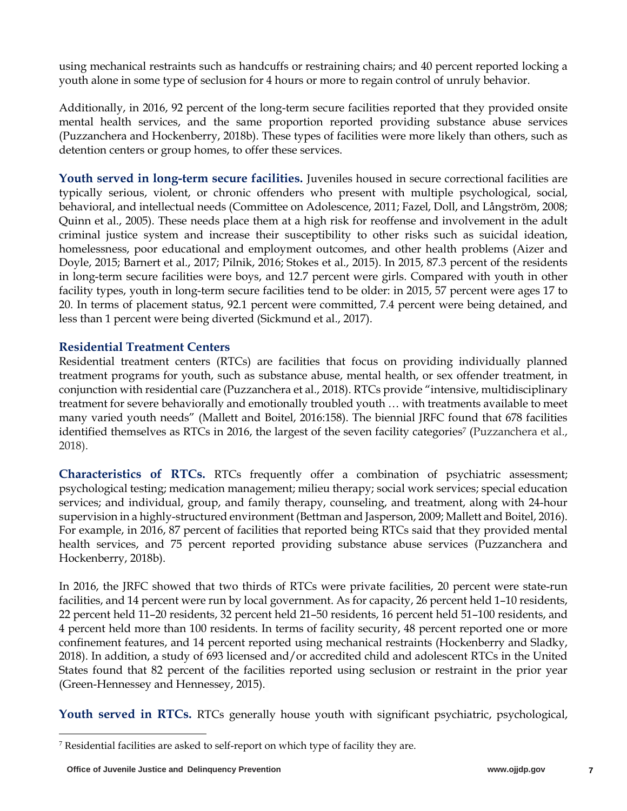using mechanical restraints such as handcuffs or restraining chairs; and 40 percent reported locking a youth alone in some type of seclusion for 4 hours or more to regain control of unruly behavior.

Additionally, in 2016, 92 percent of the long-term secure facilities reported that they provided onsite mental health services, and the same proportion reported providing substance abuse services (Puzzanchera and Hockenberry, 2018b). These types of facilities were more likely than others, such as detention centers or group homes, to offer these services.

**Youth served in long-term secure facilities.** Juveniles housed in secure correctional facilities are typically serious, violent, or chronic offenders who present with multiple psychological, social, behavioral, and intellectual needs (Committee on Adolescence, 2011; Fazel, Doll, and Långström, 2008; Quinn et al., 2005). These needs place them at a high risk for reoffense and involvement in the adult criminal justice system and increase their susceptibility to other risks such as suicidal ideation, homelessness, poor educational and employment outcomes, and other health problems (Aizer and Doyle, 2015; Barnert et al., 2017; Pilnik, 2016; Stokes et al., 2015). In 2015, 87.3 percent of the residents in long-term secure facilities were boys, and 12.7 percent were girls. Compared with youth in other facility types, youth in long-term secure facilities tend to be older: in 2015, 57 percent were ages 17 to 20. In terms of placement status, 92.1 percent were committed, 7.4 percent were being detained, and less than 1 percent were being diverted (Sickmund et al., 2017).

#### **Residential Treatment Centers**

Residential treatment centers (RTCs) are facilities that focus on providing individually planned treatment programs for youth, such as substance abuse, mental health, or sex offender treatment, in conjunction with residential care (Puzzanchera et al., 2018). RTCs provide "intensive, multidisciplinary treatment for severe behaviorally and emotionally troubled youth … with treatments available to meet many varied youth needs" (Mallett and Boitel, 2016:158). The biennial JRFC found that 678 facilities identified themselves as RTCs in 2016, the largest of the seven facility categories<sup>7</sup> (Puzzanchera et al., 2018).

**Characteristics of RTCs.** RTCs frequently offer a combination of psychiatric assessment; psychological testing; medication management; milieu therapy; social work services; special education services; and individual, group, and family therapy, counseling, and treatment, along with 24-hour supervision in a highly-structured environment (Bettman and Jasperson, 2009; Mallett and Boitel, 2016). For example, in 2016, 87 percent of facilities that reported being RTCs said that they provided mental health services, and 75 percent reported providing substance abuse services (Puzzanchera and Hockenberry, 2018b).

In 2016, the JRFC showed that two thirds of RTCs were private facilities, 20 percent were state-run facilities, and 14 percent were run by local government. As for capacity, 26 percent held 1–10 residents, 22 percent held 11–20 residents, 32 percent held 21–50 residents, 16 percent held 51–100 residents, and 4 percent held more than 100 residents. In terms of facility security, 48 percent reported one or more confinement features, and 14 percent reported using mechanical restraints (Hockenberry and Sladky, 2018). In addition, a study of 693 licensed and/or accredited child and adolescent RTCs in the United States found that 82 percent of the facilities reported using seclusion or restraint in the prior year (Green-Hennessey and Hennessey, 2015).

**Youth served in RTCs.** RTCs generally house youth with significant psychiatric, psychological,

 $7$  Residential facilities are asked to self-report on which type of facility they are.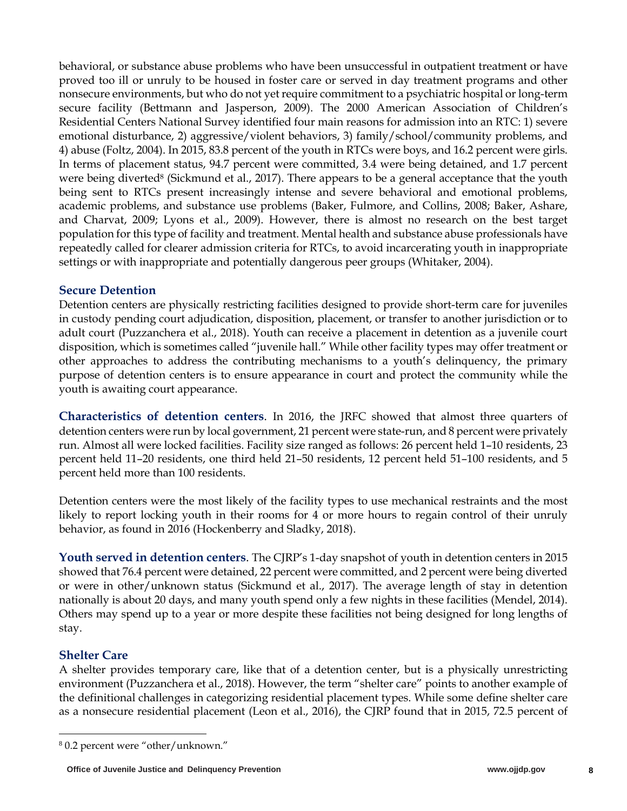behavioral, or substance abuse problems who have been unsuccessful in outpatient treatment or have proved too ill or unruly to be housed in foster care or served in day treatment programs and other nonsecure environments, but who do not yet require commitment to a psychiatric hospital or long-term secure facility (Bettmann and Jasperson, 2009). The 2000 American Association of Children's Residential Centers National Survey identified four main reasons for admission into an RTC: 1) severe emotional disturbance, 2) aggressive/violent behaviors, 3) family/school/community problems, and 4) abuse (Foltz, 2004). In 2015, 83.8 percent of the youth in RTCs were boys, and 16.2 percent were girls. In terms of placement status, 94.7 percent were committed, 3.4 were being detained, and 1.7 percent were being diverted<sup>8</sup> (Sickmund et al., 2017). There appears to be a general acceptance that the youth being sent to RTCs present increasingly intense and severe behavioral and emotional problems, academic problems, and substance use problems (Baker, Fulmore, and Collins, 2008; Baker, Ashare, and Charvat, 2009; Lyons et al., 2009). However, there is almost no research on the best target population for this type of facility and treatment. Mental health and substance abuse professionals have repeatedly called for clearer admission criteria for RTCs, to avoid incarcerating youth in inappropriate settings or with inappropriate and potentially dangerous peer groups (Whitaker, 2004).

#### **Secure Detention**

Detention centers are physically restricting facilities designed to provide short-term care for juveniles in custody pending court adjudication, disposition, placement, or transfer to another jurisdiction or to adult court (Puzzanchera et al., 2018). Youth can receive a placement in detention as a juvenile court disposition, which is sometimes called "juvenile hall." While other facility types may offer treatment or other approaches to address the contributing mechanisms to a youth's delinquency, the primary purpose of detention centers is to ensure appearance in court and protect the community while the youth is awaiting court appearance.

**Characteristics of detention centers**. In 2016, the JRFC showed that almost three quarters of detention centers were run by local government, 21 percent were state-run, and 8 percent were privately run. Almost all were locked facilities. Facility size ranged as follows: 26 percent held 1–10 residents, 23 percent held 11–20 residents, one third held 21–50 residents, 12 percent held 51–100 residents, and 5 percent held more than 100 residents.

Detention centers were the most likely of the facility types to use mechanical restraints and the most likely to report locking youth in their rooms for 4 or more hours to regain control of their unruly behavior, as found in 2016 (Hockenberry and Sladky, 2018).

**Youth served in detention centers**. The CJRP's 1-day snapshot of youth in detention centers in 2015 showed that 76.4 percent were detained, 22 percent were committed, and 2 percent were being diverted or were in other/unknown status (Sickmund et al., 2017). The average length of stay in detention nationally is about 20 days, and many youth spend only a few nights in these facilities (Mendel, 2014). Others may spend up to a year or more despite these facilities not being designed for long lengths of stay.

### **Shelter Care**

A shelter provides temporary care, like that of a detention center, but is a physically unrestricting environment (Puzzanchera et al., 2018). However, the term "shelter care" points to another example of the definitional challenges in categorizing residential placement types. While some define shelter care as a nonsecure residential placement (Leon et al., 2016), the CJRP found that in 2015, 72.5 percent of

<sup>8</sup> 0.2 percent were "other/unknown."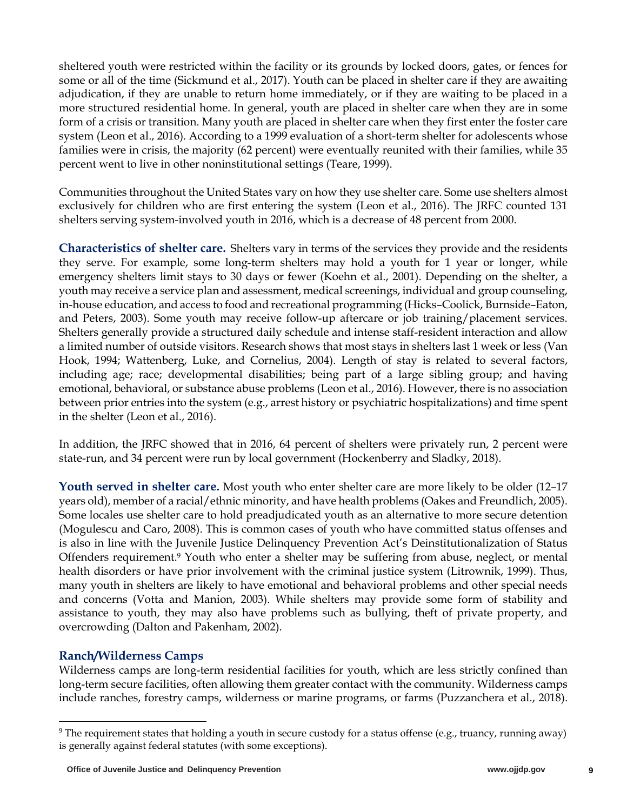sheltered youth were restricted within the facility or its grounds by locked doors, gates, or fences for some or all of the time (Sickmund et al., 2017). Youth can be placed in shelter care if they are awaiting adjudication, if they are unable to return home immediately, or if they are waiting to be placed in a more structured residential home. In general, youth are placed in shelter care when they are in some form of a crisis or transition. Many youth are placed in shelter care when they first enter the foster care system (Leon et al., 2016). According to a 1999 evaluation of a short-term shelter for adolescents whose families were in crisis, the majority (62 percent) were eventually reunited with their families, while 35 percent went to live in other noninstitutional settings (Teare, 1999).

Communities throughout the United States vary on how they use shelter care. Some use shelters almost exclusively for children who are first entering the system (Leon et al., 2016). The JRFC counted 131 shelters serving system-involved youth in 2016, which is a decrease of 48 percent from 2000.

**Characteristics of shelter care.** Shelters vary in terms of the services they provide and the residents they serve. For example, some long-term shelters may hold a youth for 1 year or longer, while emergency shelters limit stays to 30 days or fewer (Koehn et al., 2001). Depending on the shelter, a youth may receive a service plan and assessment, medical screenings, individual and group counseling, in-house education, and access to food and recreational programming (Hicks–Coolick, Burnside–Eaton, and Peters, 2003). Some youth may receive follow-up aftercare or job training/placement services. Shelters generally provide a structured daily schedule and intense staff-resident interaction and allow a limited number of outside visitors. Research shows that most stays in shelters last 1 week or less (Van Hook, 1994; Wattenberg, Luke, and Cornelius, 2004). Length of stay is related to several factors, including age; race; developmental disabilities; being part of a large sibling group; and having emotional, behavioral, or substance abuse problems (Leon et al., 2016). However, there is no association between prior entries into the system (e.g., arrest history or psychiatric hospitalizations) and time spent in the shelter (Leon et al., 2016).

In addition, the JRFC showed that in 2016, 64 percent of shelters were privately run, 2 percent were state-run, and 34 percent were run by local government (Hockenberry and Sladky, 2018).

**Youth served in shelter care.** Most youth who enter shelter care are more likely to be older (12–17 years old), member of a racial/ethnic minority, and have health problems (Oakes and Freundlich, 2005). Some locales use shelter care to hold preadjudicated youth as an alternative to more secure detention (Mogulescu and Caro, 2008). This is common cases of youth who have committed status offenses and is also in line with the Juvenile Justice Delinquency Prevention Act's Deinstitutionalization of Status Offenders requirement.9 Youth who enter a shelter may be suffering from abuse, neglect, or mental health disorders or have prior involvement with the criminal justice system (Litrownik, 1999). Thus, many youth in shelters are likely to have emotional and behavioral problems and other special needs and concerns (Votta and Manion, 2003). While shelters may provide some form of stability and assistance to youth, they may also have problems such as bullying, theft of private property, and overcrowding (Dalton and Pakenham, 2002).

### **Ranch/Wilderness Camps**

Wilderness camps are long-term residential facilities for youth, which are less strictly confined than long-term secure facilities, often allowing them greater contact with the community. Wilderness camps include ranches, forestry camps, wilderness or marine programs, or farms (Puzzanchera et al., 2018).

<sup>&</sup>lt;sup>9</sup> The requirement states that holding a youth in secure custody for a status offense (e.g., truancy, running away) is generally against federal statutes (with some exceptions).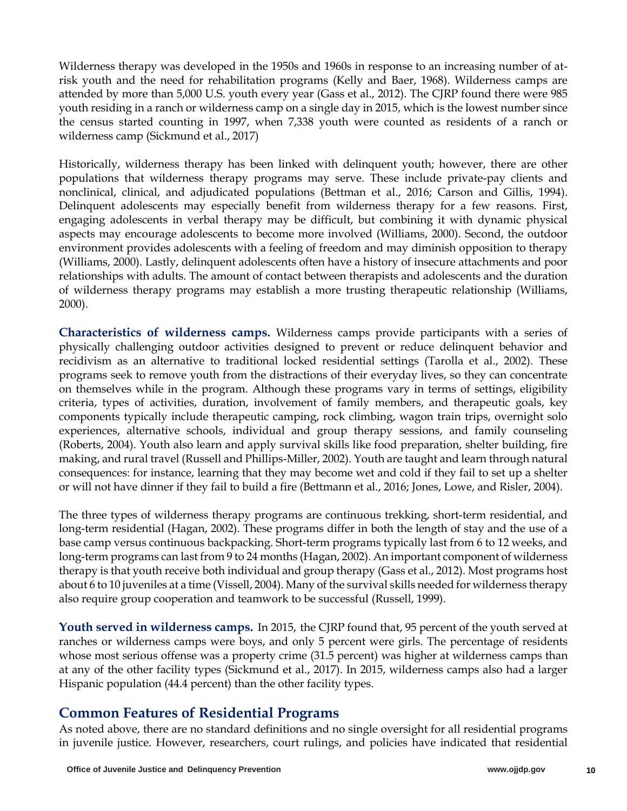Wilderness therapy was developed in the 1950s and 1960s in response to an increasing number of atrisk youth and the need for rehabilitation programs (Kelly and Baer, 1968). Wilderness camps are attended by more than 5,000 U.S. youth every year (Gass et al., 2012). The CJRP found there were 985 youth residing in a ranch or wilderness camp on a single day in 2015, which is the lowest number since the census started counting in 1997, when 7,338 youth were counted as residents of a ranch or wilderness camp (Sickmund et al., 2017)

Historically, wilderness therapy has been linked with delinquent youth; however, there are other populations that wilderness therapy programs may serve. These include private-pay clients and nonclinical, clinical, and adjudicated populations (Bettman et al., 2016; Carson and Gillis, 1994). Delinquent adolescents may especially benefit from wilderness therapy for a few reasons. First, engaging adolescents in verbal therapy may be difficult, but combining it with dynamic physical aspects may encourage adolescents to become more involved (Williams, 2000). Second, the outdoor environment provides adolescents with a feeling of freedom and may diminish opposition to therapy (Williams, 2000). Lastly, delinquent adolescents often have a history of insecure attachments and poor relationships with adults. The amount of contact between therapists and adolescents and the duration of wilderness therapy programs may establish a more trusting therapeutic relationship (Williams, 2000).

**Characteristics of wilderness camps.** Wilderness camps provide participants with a series of physically challenging outdoor activities designed to prevent or reduce delinquent behavior and recidivism as an alternative to traditional locked residential settings (Tarolla et al., 2002). These programs seek to remove youth from the distractions of their everyday lives, so they can concentrate on themselves while in the program. Although these programs vary in terms of settings, eligibility criteria, types of activities, duration, involvement of family members, and therapeutic goals, key components typically include therapeutic camping, rock climbing, wagon train trips, overnight solo experiences, alternative schools, individual and group therapy sessions, and family counseling (Roberts, 2004). Youth also learn and apply survival skills like food preparation, shelter building, fire making, and rural travel (Russell and Phillips-Miller, 2002). Youth are taught and learn through natural consequences: for instance, learning that they may become wet and cold if they fail to set up a shelter or will not have dinner if they fail to build a fire (Bettmann et al., 2016; Jones, Lowe, and Risler, 2004).

The three types of wilderness therapy programs are continuous trekking, short-term residential, and long-term residential (Hagan, 2002). These programs differ in both the length of stay and the use of a base camp versus continuous backpacking. Short-term programs typically last from 6 to 12 weeks, and long-term programs can last from 9 to 24 months (Hagan, 2002). An important component of wilderness therapy is that youth receive both individual and group therapy (Gass et al., 2012). Most programs host about 6 to 10 juveniles at a time (Vissell, 2004). Many of the survival skills needed for wilderness therapy also require group cooperation and teamwork to be successful (Russell, 1999).

**Youth served in wilderness camps.** In 2015, the CJRP found that, 95 percent of the youth served at ranches or wilderness camps were boys, and only 5 percent were girls. The percentage of residents whose most serious offense was a property crime (31.5 percent) was higher at wilderness camps than at any of the other facility types (Sickmund et al., 2017). In 2015, wilderness camps also had a larger Hispanic population (44.4 percent) than the other facility types.

### **Common Features of Residential Programs**

As noted above, there are no standard definitions and no single oversight for all residential programs in juvenile justice. However, researchers, court rulings, and policies have indicated that residential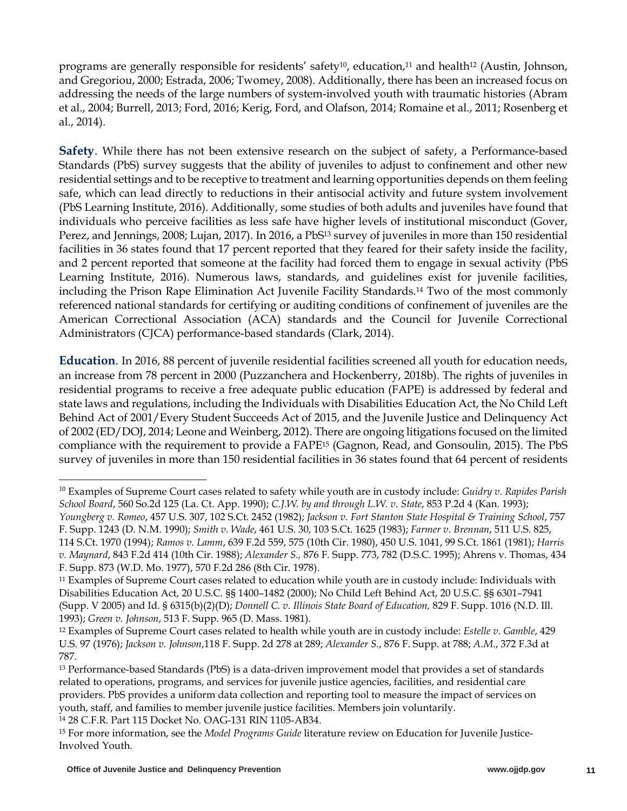programs are generally responsible for residents' safety<sup>10</sup>, education,<sup>11</sup> and health<sup>12</sup> (Austin, Johnson, and Gregoriou, 2000; Estrada, 2006; Twomey, 2008). Additionally, there has been an increased focus on addressing the needs of the large numbers of system-involved youth with traumatic histories (Abram et al., 2004; Burrell, 2013; Ford, 2016; Kerig, Ford, and Olafson, 2014; Romaine et al., 2011; Rosenberg et al., 2014).

**Safety**. While there has not been extensive research on the subject of safety, a Performance-based Standards (PbS) survey suggests that the ability of juveniles to adjust to confinement and other new residential settings and to be receptive to treatment and learning opportunities depends on them feeling safe, which can lead directly to reductions in their antisocial activity and future system involvement (PbS Learning Institute, 2016). Additionally, some studies of both adults and juveniles have found that individuals who perceive facilities as less safe have higher levels of institutional misconduct (Gover, Perez, and Jennings, 2008; Lujan, 2017). In 2016, a PbS13 survey of juveniles in more than 150 residential facilities in 36 states found that 17 percent reported that they feared for their safety inside the facility, and 2 percent reported that someone at the facility had forced them to engage in sexual activity (PbS Learning Institute, 2016). Numerous laws, standards, and guidelines exist for juvenile facilities, including the Prison Rape Elimination Act Juvenile Facility Standards.14 Two of the most commonly referenced national standards for certifying or auditing conditions of confinement of juveniles are the American Correctional Association (ACA) standards and the Council for Juvenile Correctional Administrators (CJCA) performance-based standards (Clark, 2014).

**Education**. In 2016, 88 percent of juvenile residential facilities screened all youth for education needs, an increase from 78 percent in 2000 (Puzzanchera and Hockenberry, 2018b). The rights of juveniles in residential programs to receive a free adequate public education (FAPE) is addressed by federal and state laws and regulations, including the Individuals with Disabilities Education Act, the No Child Left Behind Act of 2001/Every Student Succeeds Act of 2015, and the Juvenile Justice and Delinquency Act of 2002 (ED/DOJ, 2014; Leone and Weinberg, 2012). There are ongoing litigations focused on the limited compliance with the requirement to provide a FAPE15 (Gagnon, Read, and Gonsoulin, 2015). The PbS survey of juveniles in more than 150 residential facilities in 36 states found that 64 percent of residents

<sup>10</sup> Examples of Supreme Court cases related to safety while youth are in custody include: *Guidry v. Rapides Parish School Board*, 560 So.2d 125 (La. Ct. App. 1990); *C.J.W. by and through L.W. v. State*, 853 P.2d 4 (Kan. 1993); *Youngberg v. Romeo*, 457 U.S. 307, 102 S.Ct. 2452 (1982); *Jackson v. Fort Stanton State Hospital & Training School*, 757 F. Supp. 1243 (D. N.M. 1990); *Smith v. Wade*, 461 U.S. 30, 103 S.Ct. 1625 (1983); *Farmer v. Brennan*, 511 U.S. 825,

<sup>114</sup> S.Ct. 1970 (1994); *Ramos v. Lamm*, 639 F.2d 559, 575 (10th Cir. 1980), 450 U.S. 1041, 99 S.Ct. 1861 (1981); *Harris v. Maynard*, 843 F.2d 414 (10th Cir. 1988); *Alexander S.,* 876 F. Supp. 773, 782 (D.S.C. 1995); Ahrens v. Thomas, 434 F. Supp. 873 (W.D. Mo. 1977), 570 F.2d 286 (8th Cir. 1978).

<sup>11</sup> Examples of Supreme Court cases related to education while youth are in custody include: Individuals with Disabilities Education Act, 20 U.S.C. §§ 1400–1482 (2000); No Child Left Behind Act, 20 U.S.C. §§ 6301–7941 (Supp. V 2005) and Id. § 6315(b)(2)(D); *Donnell C. v. Illinois State Board of Education,* 829 F. Supp. 1016 (N.D. Ill. 1993); *Green v. Johnson*, 513 F. Supp. 965 (D. Mass. 1981).

<sup>12</sup> Examples of Supreme Court cases related to health while youth are in custody include: *Estelle v. Gamble*, 429 U.S. 97 (1976); *Jackson v. Johnson*,118 F. Supp. 2d 278 at 289; *Alexander S.*, 876 F. Supp. at 788; *A.M*., 372 F.3d at 787.

<sup>13</sup> Performance-based Standards (PbS) is a data-driven improvement model that provides a set of standards related to operations, programs, and services for juvenile justice agencies, facilities, and residential care providers. PbS provides a uniform data collection and reporting tool to measure the impact of services on youth, staff, and families to member juvenile justice facilities. Members join voluntarily. <sup>14</sup> 28 C.F.R. Part 115 Docket No. OAG-131 RIN 1105-AB34.

<sup>15</sup> For more information, see the *Model Programs Guide* literature review on Education for Juvenile Justice-Involved Youth.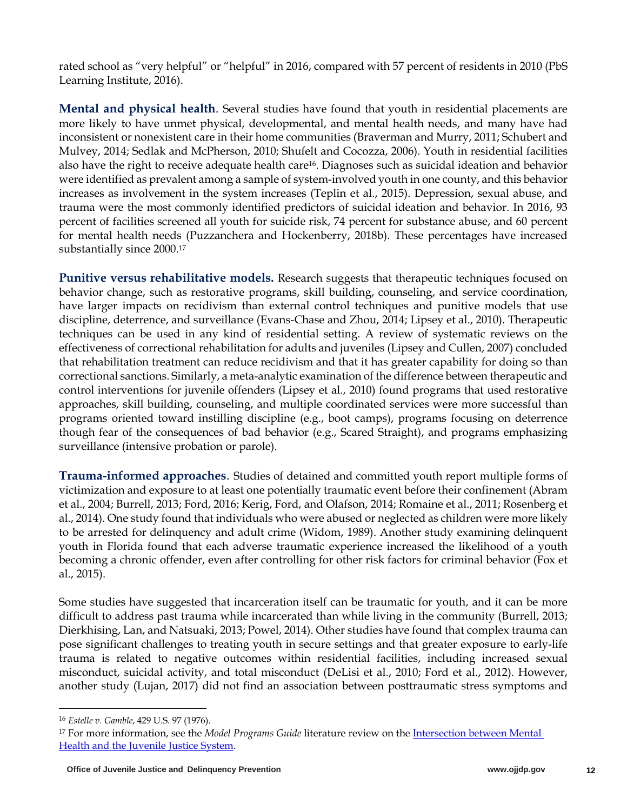rated school as "very helpful" or "helpful" in 2016, compared with 57 percent of residents in 2010 (PbS Learning Institute, 2016).

**Mental and physical health**. Several studies have found that youth in residential placements are more likely to have unmet physical, developmental, and mental health needs, and many have had inconsistent or nonexistent care in their home communities (Braverman and Murry, 2011; Schubert and Mulvey, 2014; Sedlak and McPherson, 2010; Shufelt and Cocozza, 2006). Youth in residential facilities also have the right to receive adequate health care16. Diagnoses such as suicidal ideation and behavior were identified as prevalent among a sample of system-involved youth in one county, and this behavior increases as involvement in the system increases (Teplin et al., 2015). Depression, sexual abuse, and trauma were the most commonly identified predictors of suicidal ideation and behavior. In 2016, 93 percent of facilities screened all youth for suicide risk, 74 percent for substance abuse, and 60 percent for mental health needs (Puzzanchera and Hockenberry, 2018b). These percentages have increased substantially since 2000.<sup>17</sup>

**Punitive versus rehabilitative models.** Research suggests that therapeutic techniques focused on behavior change, such as restorative programs, skill building, counseling, and service coordination, have larger impacts on recidivism than external control techniques and punitive models that use discipline, deterrence, and surveillance (Evans-Chase and Zhou, 2014; Lipsey et al., 2010). Therapeutic techniques can be used in any kind of residential setting. A review of systematic reviews on the effectiveness of correctional rehabilitation for adults and juveniles (Lipsey and Cullen, 2007) concluded that rehabilitation treatment can reduce recidivism and that it has greater capability for doing so than correctional sanctions. Similarly, a meta-analytic examination of the difference between therapeutic and control interventions for juvenile offenders (Lipsey et al., 2010) found programs that used restorative approaches, skill building, counseling, and multiple coordinated services were more successful than programs oriented toward instilling discipline (e.g., boot camps), programs focusing on deterrence though fear of the consequences of bad behavior (e.g., Scared Straight), and programs emphasizing surveillance (intensive probation or parole).

**Trauma-informed approaches**. Studies of detained and committed youth report multiple forms of victimization and exposure to at least one potentially traumatic event before their confinement (Abram et al., 2004; Burrell, 2013; Ford, 2016; Kerig, Ford, and Olafson, 2014; Romaine et al., 2011; Rosenberg et al., 2014). One study found that individuals who were abused or neglected as children were more likely to be arrested for delinquency and adult crime (Widom, 1989). Another study examining delinquent youth in Florida found that each adverse traumatic experience increased the likelihood of a youth becoming a chronic offender, even after controlling for other risk factors for criminal behavior (Fox et al., 2015).

Some studies have suggested that incarceration itself can be traumatic for youth, and it can be more difficult to address past trauma while incarcerated than while living in the community (Burrell, 2013; Dierkhising, Lan, and Natsuaki, 2013; Powel, 2014). Other studies have found that complex trauma can pose significant challenges to treating youth in secure settings and that greater exposure to early-life trauma is related to negative outcomes within residential facilities, including increased sexual misconduct, suicidal activity, and total misconduct (DeLisi et al., 2010; Ford et al., 2012). However, another study (Lujan, 2017) did not find an association between posttraumatic stress symptoms and

<sup>16</sup> *Estelle v. Gamble*, 429 U.S. 97 (1976).

<sup>17</sup> For more information, see the *Model Programs Guide* literature review on the Intersection between Mental Health and the Juvenile Justice System.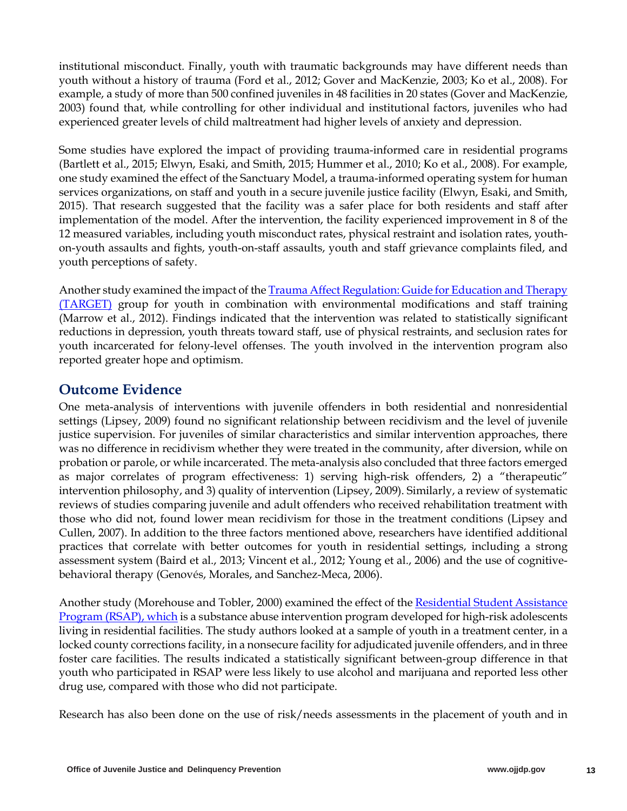institutional misconduct. Finally, youth with traumatic backgrounds may have different needs than youth without a history of trauma (Ford et al., 2012; Gover and MacKenzie, 2003; Ko et al., 2008). For example, a study of more than 500 confined juveniles in 48 facilities in 20 states (Gover and MacKenzie, 2003) found that, while controlling for other individual and institutional factors, juveniles who had experienced greater levels of child maltreatment had higher levels of anxiety and depression.

Some studies have explored the impact of providing trauma-informed care in residential programs (Bartlett et al., 2015; Elwyn, Esaki, and Smith, 2015; Hummer et al., 2010; Ko et al., 2008). For example, one study examined the effect of the Sanctuary Model, a trauma-informed operating system for human services organizations, on staff and youth in a secure juvenile justice facility (Elwyn, Esaki, and Smith, 2015). That research suggested that the facility was a safer place for both residents and staff after implementation of the model. After the intervention, the facility experienced improvement in 8 of the 12 measured variables, including youth misconduct rates, physical restraint and isolation rates, youthon-youth assaults and fights, youth-on-staff assaults, youth and staff grievance complaints filed, and youth perceptions of safety.

Another study examined the impact of the Trauma Affect Regulation: Guide for Education and Therapy (TARGET) group for youth in combination with environmental modifications and staff training (Marrow et al., 2012). Findings indicated that the intervention was related to statistically significant reductions in depression, youth threats toward staff, use of physical restraints, and seclusion rates for youth incarcerated for felony-level offenses. The youth involved in the intervention program also reported greater hope and optimism.

# **Outcome Evidence**

One meta-analysis of interventions with juvenile offenders in both residential and nonresidential settings (Lipsey, 2009) found no significant relationship between recidivism and the level of juvenile justice supervision. For juveniles of similar characteristics and similar intervention approaches, there was no difference in recidivism whether they were treated in the community, after diversion, while on probation or parole, or while incarcerated. The meta-analysis also concluded that three factors emerged as major correlates of program effectiveness: 1) serving high-risk offenders, 2) a "therapeutic" intervention philosophy, and 3) quality of intervention (Lipsey, 2009). Similarly, a review of systematic reviews of studies comparing juvenile and adult offenders who received rehabilitation treatment with those who did not, found lower mean recidivism for those in the treatment conditions (Lipsey and Cullen, 2007). In addition to the three factors mentioned above, researchers have identified additional practices that correlate with better outcomes for youth in residential settings, including a strong assessment system (Baird et al., 2013; Vincent et al., 2012; Young et al., 2006) and the use of cognitivebehavioral therapy (Genovés, Morales, and Sanchez-Meca, 2006).

Another study (Morehouse and Tobler, 2000) examined the effect of the Residential Student Assistance Program (RSAP), which is a substance abuse intervention program developed for high-risk adolescents living in residential facilities. The study authors looked at a sample of youth in a treatment center, in a locked county corrections facility, in a nonsecure facility for adjudicated juvenile offenders, and in three foster care facilities. The results indicated a statistically significant between-group difference in that youth who participated in RSAP were less likely to use alcohol and marijuana and reported less other drug use, compared with those who did not participate.

Research has also been done on the use of risk/needs assessments in the placement of youth and in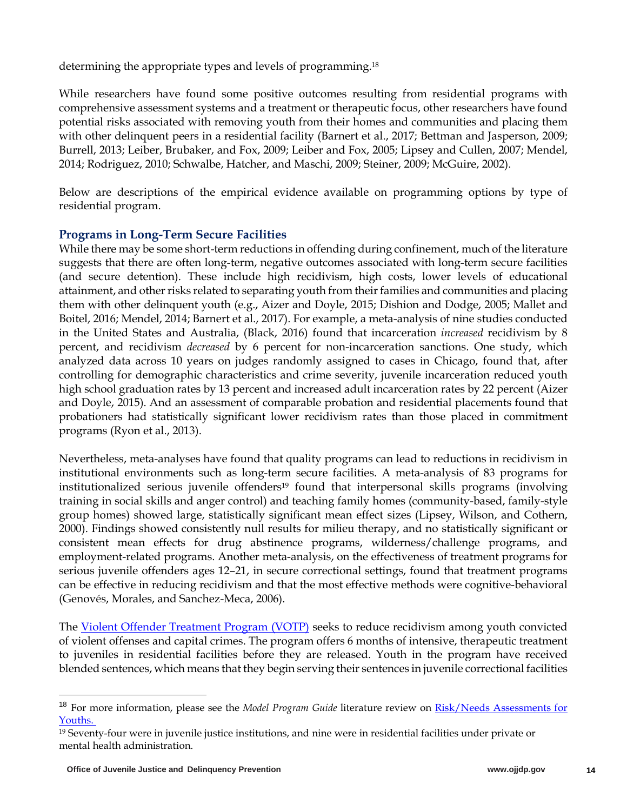determining the appropriate types and levels of programming.<sup>18</sup>

While researchers have found some positive outcomes resulting from residential programs with comprehensive assessment systems and a treatment or therapeutic focus, other researchers have found potential risks associated with removing youth from their homes and communities and placing them with other delinquent peers in a residential facility (Barnert et al., 2017; Bettman and Jasperson, 2009; Burrell, 2013; Leiber, Brubaker, and Fox, 2009; Leiber and Fox, 2005; Lipsey and Cullen, 2007; Mendel, 2014; Rodriguez, 2010; Schwalbe, Hatcher, and Maschi, 2009; Steiner, 2009; McGuire, 2002).

Below are descriptions of the empirical evidence available on programming options by type of residential program.

### **Programs in Long-Term Secure Facilities**

While there may be some short-term reductions in offending during confinement, much of the literature suggests that there are often long-term, negative outcomes associated with long-term secure facilities (and secure detention). These include high recidivism, high costs, lower levels of educational attainment, and other risks related to separating youth from their families and communities and placing them with other delinquent youth (e.g., Aizer and Doyle, 2015; Dishion and Dodge, 2005; Mallet and Boitel, 2016; Mendel, 2014; Barnert et al., 2017). For example, a meta-analysis of nine studies conducted in the United States and Australia, (Black, 2016) found that incarceration *increased* recidivism by 8 percent, and recidivism *decreased* by 6 percent for non-incarceration sanctions. One study, which analyzed data across 10 years on judges randomly assigned to cases in Chicago, found that, after controlling for demographic characteristics and crime severity, juvenile incarceration reduced youth high school graduation rates by 13 percent and increased adult incarceration rates by 22 percent (Aizer and Doyle, 2015). And an assessment of comparable probation and residential placements found that probationers had statistically significant lower recidivism rates than those placed in commitment programs (Ryon et al., 2013).

Nevertheless, meta-analyses have found that quality programs can lead to reductions in recidivism in institutional environments such as long-term secure facilities. A meta-analysis of 83 programs for institutionalized serious juvenile offenders<sup>19</sup> found that interpersonal skills programs (involving training in social skills and anger control) and teaching family homes (community-based, family-style group homes) showed large, statistically significant mean effect sizes (Lipsey, Wilson, and Cothern, 2000). Findings showed consistently null results for milieu therapy, and no statistically significant or consistent mean effects for drug abstinence programs, wilderness/challenge programs, and employment-related programs. Another meta-analysis, on the effectiveness of treatment programs for serious juvenile offenders ages 12–21, in secure correctional settings, found that treatment programs can be effective in reducing recidivism and that the most effective methods were cognitive-behavioral (Genovés, Morales, and Sanchez-Meca, 2006).

The Violent Offender Treatment Program (VOTP) seeks to reduce recidivism among youth convicted of violent offenses and capital crimes. The program offers 6 months of intensive, therapeutic treatment to juveniles in residential facilities before they are released. Youth in the program have received blended sentences, which means that they begin serving their sentences in juvenile correctional facilities

<sup>&</sup>lt;sup>18</sup> For more information, please see the *Model Program Guide* literature review on **Risk/Needs Assessments for** Youths.

<sup>19</sup> Seventy-four were in juvenile justice institutions, and nine were in residential facilities under private or mental health administration.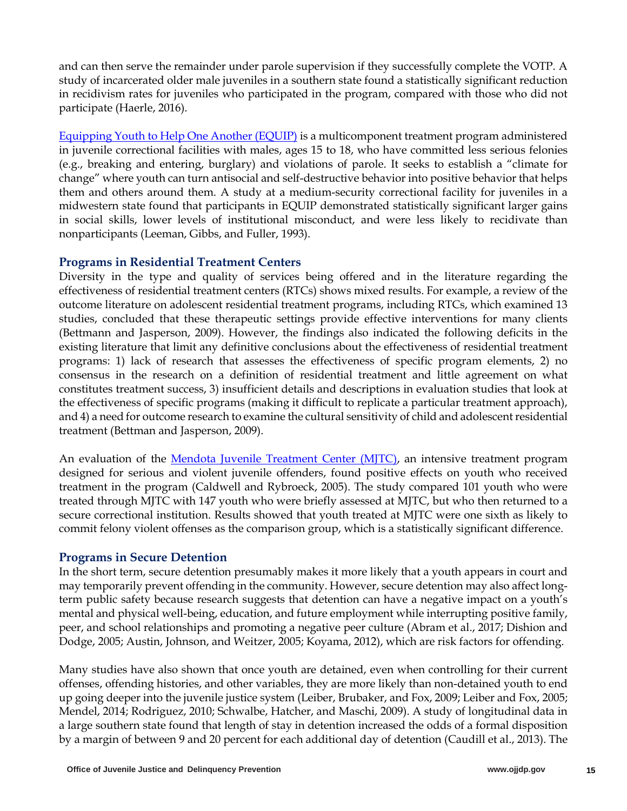and can then serve the remainder under parole supervision if they successfully complete the VOTP. A study of incarcerated older male juveniles in a southern state found a statistically significant reduction in recidivism rates for juveniles who participated in the program, compared with those who did not participate (Haerle, 2016).

Equipping Youth to Help One Another (EQUIP) is a multicomponent treatment program administered in juvenile correctional facilities with males, ages 15 to 18, who have committed less serious felonies (e.g., breaking and entering, burglary) and violations of parole. It seeks to establish a "climate for change" where youth can turn antisocial and self-destructive behavior into positive behavior that helps them and others around them. A study at a medium-security correctional facility for juveniles in a midwestern state found that participants in EQUIP demonstrated statistically significant larger gains in social skills, lower levels of institutional misconduct, and were less likely to recidivate than nonparticipants (Leeman, Gibbs, and Fuller, 1993).

#### **Programs in Residential Treatment Centers**

Diversity in the type and quality of services being offered and in the literature regarding the effectiveness of residential treatment centers (RTCs) shows mixed results. For example, a review of the outcome literature on adolescent residential treatment programs, including RTCs, which examined 13 studies, concluded that these therapeutic settings provide effective interventions for many clients (Bettmann and Jasperson, 2009). However, the findings also indicated the following deficits in the existing literature that limit any definitive conclusions about the effectiveness of residential treatment programs: 1) lack of research that assesses the effectiveness of specific program elements, 2) no consensus in the research on a definition of residential treatment and little agreement on what constitutes treatment success, 3) insufficient details and descriptions in evaluation studies that look at the effectiveness of specific programs (making it difficult to replicate a particular treatment approach), and 4) a need for outcome research to examine the cultural sensitivity of child and adolescent residential treatment (Bettman and Jasperson, 2009).

An evaluation of the Mendota Juvenile Treatment Center (MJTC), an intensive treatment program designed for serious and violent juvenile offenders, found positive effects on youth who received treatment in the program (Caldwell and Rybroeck, 2005). The study compared 101 youth who were treated through MJTC with 147 youth who were briefly assessed at MJTC, but who then returned to a secure correctional institution. Results showed that youth treated at MJTC were one sixth as likely to commit felony violent offenses as the comparison group, which is a statistically significant difference.

### **Programs in Secure Detention**

In the short term, secure detention presumably makes it more likely that a youth appears in court and may temporarily prevent offending in the community. However, secure detention may also affect longterm public safety because research suggests that detention can have a negative impact on a youth's mental and physical well-being, education, and future employment while interrupting positive family, peer, and school relationships and promoting a negative peer culture (Abram et al., 2017; Dishion and Dodge, 2005; Austin, Johnson, and Weitzer, 2005; Koyama, 2012), which are risk factors for offending.

Many studies have also shown that once youth are detained, even when controlling for their current offenses, offending histories, and other variables, they are more likely than non-detained youth to end up going deeper into the juvenile justice system (Leiber, Brubaker, and Fox, 2009; Leiber and Fox, 2005; Mendel, 2014; Rodriguez, 2010; Schwalbe, Hatcher, and Maschi, 2009). A study of longitudinal data in a large southern state found that length of stay in detention increased the odds of a formal disposition by a margin of between 9 and 20 percent for each additional day of detention (Caudill et al., 2013). The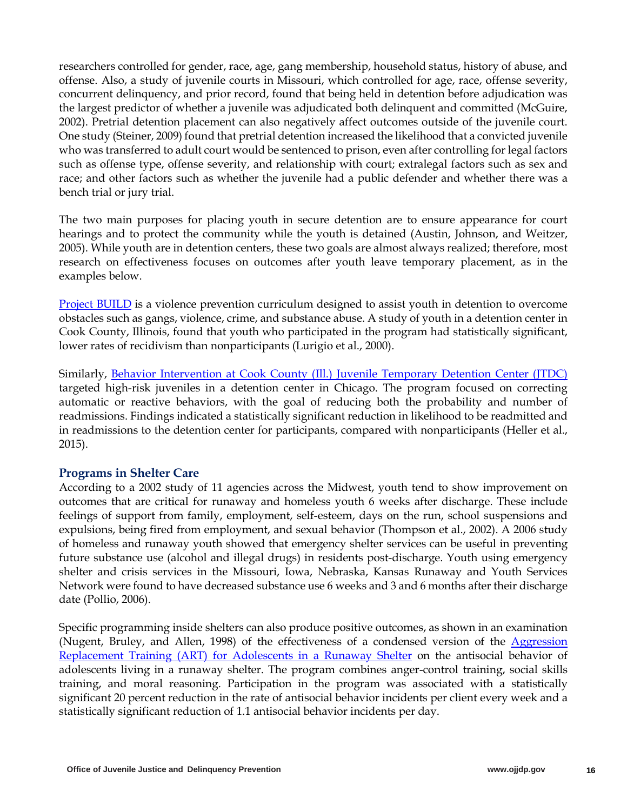researchers controlled for gender, race, age, gang membership, household status, history of abuse, and offense. Also, a study of juvenile courts in Missouri, which controlled for age, race, offense severity, concurrent delinquency, and prior record, found that being held in detention before adjudication was the largest predictor of whether a juvenile was adjudicated both delinquent and committed (McGuire, 2002). Pretrial detention placement can also negatively affect outcomes outside of the juvenile court. One study (Steiner, 2009) found that pretrial detention increased the likelihood that a convicted juvenile who was transferred to adult court would be sentenced to prison, even after controlling for legal factors such as offense type, offense severity, and relationship with court; extralegal factors such as sex and race; and other factors such as whether the juvenile had a public defender and whether there was a bench trial or jury trial.

The two main purposes for placing youth in secure detention are to ensure appearance for court hearings and to protect the community while the youth is detained (Austin, Johnson, and Weitzer, 2005). While youth are in detention centers, these two goals are almost always realized; therefore, most research on effectiveness focuses on outcomes after youth leave temporary placement, as in the examples below.

Project BUILD is a violence prevention curriculum designed to assist youth in detention to overcome obstacles such as gangs, violence, crime, and substance abuse. A study of youth in a detention center in Cook County, Illinois, found that youth who participated in the program had statistically significant, lower rates of recidivism than nonparticipants (Lurigio et al., 2000).

Similarly, Behavior Intervention at Cook County (Ill.) Juvenile Temporary Detention Center (JTDC) targeted high-risk juveniles in a detention center in Chicago. The program focused on correcting automatic or reactive behaviors, with the goal of reducing both the probability and number of readmissions. Findings indicated a statistically significant reduction in likelihood to be readmitted and in readmissions to the detention center for participants, compared with nonparticipants (Heller et al., 2015).

#### **Programs in Shelter Care**

According to a 2002 study of 11 agencies across the Midwest, youth tend to show improvement on outcomes that are critical for runaway and homeless youth 6 weeks after discharge. These include feelings of support from family, employment, self-esteem, days on the run, school suspensions and expulsions, being fired from employment, and sexual behavior (Thompson et al., 2002). A 2006 study of homeless and runaway youth showed that emergency shelter services can be useful in preventing future substance use (alcohol and illegal drugs) in residents post-discharge. Youth using emergency shelter and crisis services in the Missouri, Iowa, Nebraska, Kansas Runaway and Youth Services Network were found to have decreased substance use 6 weeks and 3 and 6 months after their discharge date (Pollio, 2006).

Specific programming inside shelters can also produce positive outcomes, as shown in an examination (Nugent, Bruley, and Allen, 1998) of the effectiveness of a condensed version of the  $Aggression$ Replacement Training (ART) for Adolescents in a Runaway Shelter on the antisocial behavior of adolescents living in a runaway shelter. The program combines anger-control training, social skills training, and moral reasoning. Participation in the program was associated with a statistically significant 20 percent reduction in the rate of antisocial behavior incidents per client every week and a statistically significant reduction of 1.1 antisocial behavior incidents per day.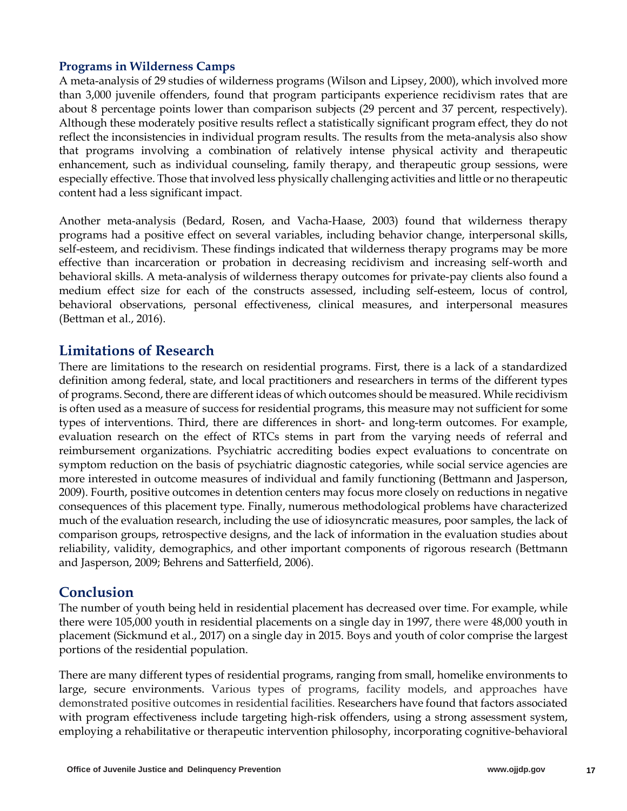#### **Programs in Wilderness Camps**

A meta-analysis of 29 studies of wilderness programs (Wilson and Lipsey, 2000), which involved more than 3,000 juvenile offenders, found that program participants experience recidivism rates that are about 8 percentage points lower than comparison subjects (29 percent and 37 percent, respectively). Although these moderately positive results reflect a statistically significant program effect, they do not reflect the inconsistencies in individual program results. The results from the meta-analysis also show that programs involving a combination of relatively intense physical activity and therapeutic enhancement, such as individual counseling, family therapy, and therapeutic group sessions, were especially effective. Those that involved less physically challenging activities and little or no therapeutic content had a less significant impact.

Another meta-analysis (Bedard, Rosen, and Vacha-Haase, 2003) found that wilderness therapy programs had a positive effect on several variables, including behavior change, interpersonal skills, self-esteem, and recidivism. These findings indicated that wilderness therapy programs may be more effective than incarceration or probation in decreasing recidivism and increasing self-worth and behavioral skills. A meta-analysis of wilderness therapy outcomes for private-pay clients also found a medium effect size for each of the constructs assessed, including self-esteem, locus of control, behavioral observations, personal effectiveness, clinical measures, and interpersonal measures (Bettman et al., 2016).

### **Limitations of Research**

There are limitations to the research on residential programs. First, there is a lack of a standardized definition among federal, state, and local practitioners and researchers in terms of the different types of programs. Second, there are different ideas of which outcomes should be measured. While recidivism is often used as a measure of success for residential programs, this measure may not sufficient for some types of interventions. Third, there are differences in short- and long-term outcomes. For example, evaluation research on the effect of RTCs stems in part from the varying needs of referral and reimbursement organizations. Psychiatric accrediting bodies expect evaluations to concentrate on symptom reduction on the basis of psychiatric diagnostic categories, while social service agencies are more interested in outcome measures of individual and family functioning (Bettmann and Jasperson, 2009). Fourth, positive outcomes in detention centers may focus more closely on reductions in negative consequences of this placement type. Finally, numerous methodological problems have characterized much of the evaluation research, including the use of idiosyncratic measures, poor samples, the lack of comparison groups, retrospective designs, and the lack of information in the evaluation studies about reliability, validity, demographics, and other important components of rigorous research (Bettmann and Jasperson, 2009; Behrens and Satterfield, 2006).

### **Conclusion**

The number of youth being held in residential placement has decreased over time. For example, while there were 105,000 youth in residential placements on a single day in 1997, there were 48,000 youth in placement (Sickmund et al., 2017) on a single day in 2015. Boys and youth of color comprise the largest portions of the residential population.

There are many different types of residential programs, ranging from small, homelike environments to large, secure environments. Various types of programs, facility models, and approaches have demonstrated positive outcomes in residential facilities. Researchers have found that factors associated with program effectiveness include targeting high-risk offenders, using a strong assessment system, employing a rehabilitative or therapeutic intervention philosophy, incorporating cognitive-behavioral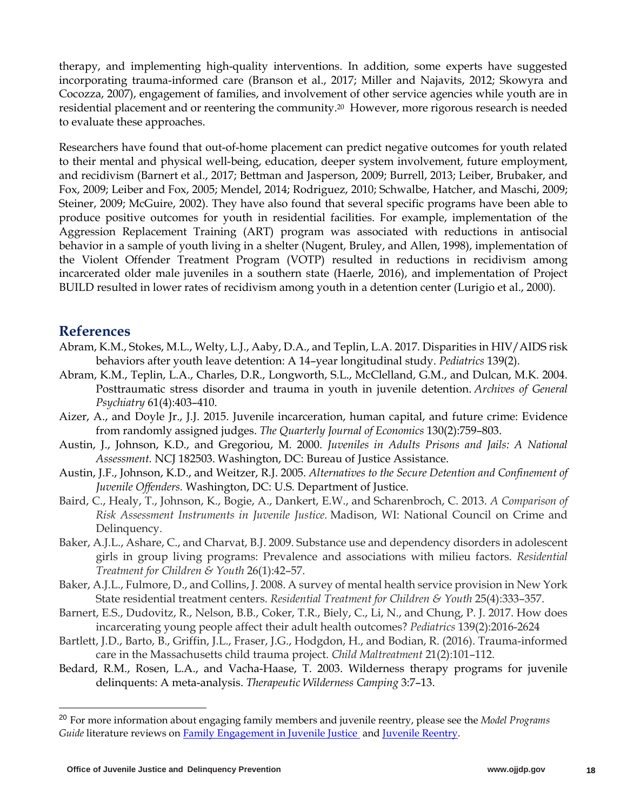therapy, and implementing high-quality interventions. In addition, some experts have suggested incorporating trauma-informed care (Branson et al., 2017; Miller and Najavits, 2012; Skowyra and Cocozza, 2007), engagement of families, and involvement of other service agencies while youth are in residential placement and or reentering the community.20 However, more rigorous research is needed to evaluate these approaches.

Researchers have found that out-of-home placement can predict negative outcomes for youth related to their mental and physical well-being, education, deeper system involvement, future employment, and recidivism (Barnert et al., 2017; Bettman and Jasperson, 2009; Burrell, 2013; Leiber, Brubaker, and Fox, 2009; Leiber and Fox, 2005; Mendel, 2014; Rodriguez, 2010; Schwalbe, Hatcher, and Maschi, 2009; Steiner, 2009; McGuire, 2002). They have also found that several specific programs have been able to produce positive outcomes for youth in residential facilities. For example, implementation of the Aggression Replacement Training (ART) program was associated with reductions in antisocial behavior in a sample of youth living in a shelter (Nugent, Bruley, and Allen, 1998), implementation of the Violent Offender Treatment Program (VOTP) resulted in reductions in recidivism among incarcerated older male juveniles in a southern state (Haerle, 2016), and implementation of Project BUILD resulted in lower rates of recidivism among youth in a detention center (Lurigio et al., 2000).

# **References**

- Abram, K.M., Stokes, M.L., Welty, L.J., Aaby, D.A., and Teplin, L.A. 2017. Disparities in HIV/AIDS risk behaviors after youth leave detention: A 14–year longitudinal study. *Pediatrics* 139(2).
- Abram, K.M., Teplin, L.A., Charles, D.R., Longworth, S.L., McClelland, G.M., and Dulcan, M.K. 2004. Posttraumatic stress disorder and trauma in youth in juvenile detention. *Archives of General Psychiatry* 61(4):403–410.
- Aizer, A., and Doyle Jr., J.J. 2015. Juvenile incarceration, human capital, and future crime: Evidence from randomly assigned judges. *The Quarterly Journal of Economics* 130(2):759–803.
- Austin, J., Johnson, K.D., and Gregoriou, M. 2000. *Juveniles in Adults Prisons and Jails: A National Assessment.* NCJ 182503. Washington, DC: Bureau of Justice Assistance.
- Austin, J.F., Johnson, K.D., and Weitzer, R.J. 2005. *Alternatives to the Secure Detention and Confinement of Juvenile Offenders.* Washington, DC: U.S. Department of Justice.
- Baird, C., Healy, T., Johnson, K., Bogie, A., Dankert, E.W., and Scharenbroch, C. 2013. *A Comparison of Risk Assessment Instruments in Juvenile Justice.* Madison, WI: National Council on Crime and Delinquency.
- Baker, A.J.L., Ashare, C., and Charvat, B.J. 2009. Substance use and dependency disorders in adolescent girls in group living programs: Prevalence and associations with milieu factors. *Residential Treatment for Children & Youth* 26(1):42–57.
- Baker, A.J.L., Fulmore, D., and Collins, J. 2008. A survey of mental health service provision in New York State residential treatment centers. *Residential Treatment for Children & Youth* 25(4):333–357.
- Barnert, E.S., Dudovitz, R., Nelson, B.B., Coker, T.R., Biely, C., Li, N., and Chung, P. J. 2017. How does incarcerating young people affect their adult health outcomes? *Pediatrics* 139(2):2016-2624
- Bartlett, J.D., Barto, B., Griffin, J.L., Fraser, J.G., Hodgdon, H., and Bodian, R. (2016). Trauma-informed care in the Massachusetts child trauma project. *Child Maltreatment* 21(2):101–112.
- Bedard, R.M., Rosen, L.A., and Vacha-Haase, T. 2003. Wilderness therapy programs for juvenile delinquents: A meta-analysis. *Therapeutic Wilderness Camping* 3:7–13.

<sup>20</sup> For more information about engaging family members and juvenile reentry, please see the *Model Programs Guide* literature reviews on Family Engagement in Juvenile Justice and Juvenile Reentry.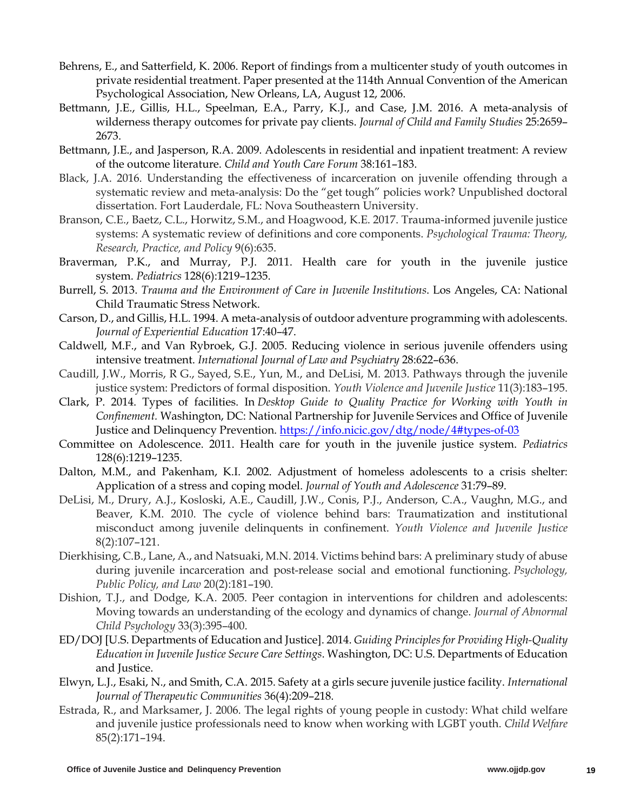- Behrens, E., and Satterfield, K. 2006. Report of findings from a multicenter study of youth outcomes in private residential treatment. Paper presented at the 114th Annual Convention of the American Psychological Association, New Orleans, LA, August 12, 2006.
- Bettmann, J.E., Gillis, H.L., Speelman, E.A., Parry, K.J., and Case, J.M. 2016. A meta-analysis of wilderness therapy outcomes for private pay clients. *Journal of Child and Family Studies* 25:2659– 2673.
- Bettmann, J.E., and Jasperson, R.A. 2009. Adolescents in residential and inpatient treatment: A review of the outcome literature. *Child and Youth Care Forum* 38:161–183.
- Black, J.A. 2016. Understanding the effectiveness of incarceration on juvenile offending through a systematic review and meta-analysis: Do the "get tough" policies work? Unpublished doctoral dissertation. Fort Lauderdale, FL: Nova Southeastern University.
- Branson, C.E., Baetz, C.L., Horwitz, S.M., and Hoagwood, K.E. 2017. Trauma-informed juvenile justice systems: A systematic review of definitions and core components. *Psychological Trauma: Theory, Research, Practice, and Policy* 9(6):635.
- Braverman, P.K., and Murray, P.J. 2011. Health care for youth in the juvenile justice system. *Pediatrics* 128(6):1219–1235.
- Burrell, S. 2013. *Trauma and the Environment of Care in Juvenile Institutions*. Los Angeles, CA: National Child Traumatic Stress Network.
- Carson, D., and Gillis, H.L. 1994. A meta-analysis of outdoor adventure programming with adolescents. *Journal of Experiential Education* 17:40–47.
- Caldwell, M.F., and Van Rybroek, G.J. 2005. Reducing violence in serious juvenile offenders using intensive treatment. *International Journal of Law and Psychiatry* 28:622–636.
- Caudill, J.W., Morris, R G., Sayed, S.E., Yun, M., and DeLisi, M. 2013. Pathways through the juvenile justice system: Predictors of formal disposition. *Youth Violence and Juvenile Justice* 11(3):183–195.
- Clark, P. 2014. Types of facilities. In *Desktop Guide to Quality Practice for Working with Youth in Confinement.* Washington, DC: National Partnership for Juvenile Services and Office of Juvenile Justice and Delinquency Prevention. https://info.nicic.gov/dtg/node/4#types-of-03
- Committee on Adolescence. 2011. Health care for youth in the juvenile justice system. *Pediatrics* 128(6):1219–1235.
- Dalton, M.M., and Pakenham, K.I. 2002. Adjustment of homeless adolescents to a crisis shelter: Application of a stress and coping model. *Journal of Youth and Adolescence* 31:79–89.
- DeLisi, M., Drury, A.J., Kosloski, A.E., Caudill, J.W., Conis, P.J., Anderson, C.A., Vaughn, M.G., and Beaver, K.M. 2010. The cycle of violence behind bars: Traumatization and institutional misconduct among juvenile delinquents in confinement. *Youth Violence and Juvenile Justice* 8(2):107–121.
- Dierkhising, C.B., Lane, A., and Natsuaki, M.N. 2014. Victims behind bars: A preliminary study of abuse during juvenile incarceration and post-release social and emotional functioning. *Psychology, Public Policy, and Law* 20(2):181–190.
- Dishion, T.J., and Dodge, K.A. 2005. Peer contagion in interventions for children and adolescents: Moving towards an understanding of the ecology and dynamics of change. *Journal of Abnormal Child Psychology* 33(3):395–400.
- ED/DOJ [U.S. Departments of Education and Justice]. 2014. *Guiding Principles for Providing High-Quality Education in Juvenile Justice Secure Care Settings*. Washington, DC: U.S. Departments of Education and Justice.
- Elwyn, L.J., Esaki, N., and Smith, C.A. 2015. Safety at a girls secure juvenile justice facility. *International Journal of Therapeutic Communities* 36(4):209–218.
- Estrada, R., and Marksamer, J. 2006. The legal rights of young people in custody: What child welfare and juvenile justice professionals need to know when working with LGBT youth. *Child Welfare* 85(2):171–194.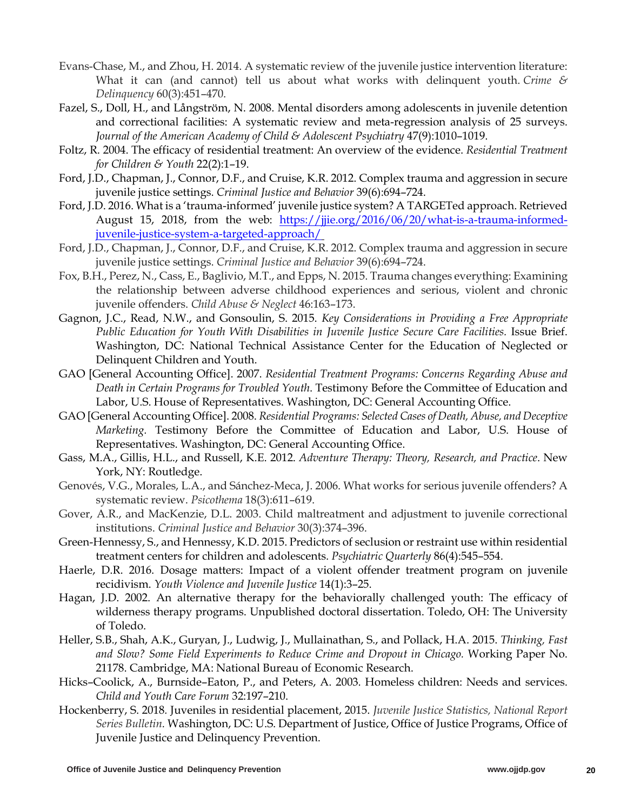- Evans-Chase, M., and Zhou, H. 2014. A systematic review of the juvenile justice intervention literature: What it can (and cannot) tell us about what works with delinquent youth. *Crime & Delinquency* 60(3):451–470.
- Fazel, S., Doll, H., and Långström, N. 2008. Mental disorders among adolescents in juvenile detention and correctional facilities: A systematic review and meta-regression analysis of 25 surveys. *Journal of the American Academy of Child & Adolescent Psychiatry* 47(9):1010–1019.
- Foltz, R. 2004. The efficacy of residential treatment: An overview of the evidence. *Residential Treatment for Children & Youth* 22(2):1–19.
- Ford, J.D., Chapman, J., Connor, D.F., and Cruise, K.R. 2012. Complex trauma and aggression in secure juvenile justice settings. *Criminal Justice and Behavior* 39(6):694–724.
- Ford, J.D. 2016. What is a 'trauma-informed' juvenile justice system? A TARGETed approach. Retrieved August 15, 2018, from the web: https://jjie.org/2016/06/20/what-is-a-trauma-informedjuvenile-justice-system-a-targeted-approach/
- Ford, J.D., Chapman, J., Connor, D.F., and Cruise, K.R. 2012. Complex trauma and aggression in secure juvenile justice settings. *Criminal Justice and Behavior* 39(6):694–724.
- Fox, B.H., Perez, N., Cass, E., Baglivio, M.T., and Epps, N. 2015. Trauma changes everything: Examining the relationship between adverse childhood experiences and serious, violent and chronic juvenile offenders. *Child Abuse & Neglect* 46:163–173.
- Gagnon, J.C., Read, N.W., and Gonsoulin, S. 2015. *Key Considerations in Providing a Free Appropriate Public Education for Youth With Disabilities in Juvenile Justice Secure Care Facilities.* Issue Brief. Washington, DC: National Technical Assistance Center for the Education of Neglected or Delinquent Children and Youth.
- GAO [General Accounting Office]. 2007. *Residential Treatment Programs: Concerns Regarding Abuse and Death in Certain Programs for Troubled Youth*. Testimony Before the Committee of Education and Labor, U.S. House of Representatives. Washington, DC: General Accounting Office.
- GAO [General Accounting Office]. 2008. *Residential Programs: Selected Cases of Death, Abuse, and Deceptive Marketing.* Testimony Before the Committee of Education and Labor, U.S. House of Representatives. Washington, DC: General Accounting Office.
- Gass, M.A., Gillis, H.L., and Russell, K.E. 2012. *Adventure Therapy: Theory, Research, and Practice*. New York, NY: Routledge.
- Genovés, V.G., Morales, L.A., and Sánchez-Meca, J. 2006. What works for serious juvenile offenders? A systematic review. *Psicothema* 18(3):611–619.
- Gover, A.R., and MacKenzie, D.L. 2003. Child maltreatment and adjustment to juvenile correctional institutions. *Criminal Justice and Behavior* 30(3):374–396.
- Green-Hennessy, S., and Hennessy, K.D. 2015. Predictors of seclusion or restraint use within residential treatment centers for children and adolescents. *Psychiatric Quarterly* 86(4):545–554.
- Haerle, D.R. 2016. Dosage matters: Impact of a violent offender treatment program on juvenile recidivism. *Youth Violence and Juvenile Justice* 14(1):3–25.
- Hagan, J.D. 2002. An alternative therapy for the behaviorally challenged youth: The efficacy of wilderness therapy programs. Unpublished doctoral dissertation. Toledo, OH: The University of Toledo.
- Heller, S.B., Shah, A.K., Guryan, J., Ludwig, J., Mullainathan, S., and Pollack, H.A. 2015. *Thinking, Fast and Slow? Some Field Experiments to Reduce Crime and Dropout in Chicago.* Working Paper No. 21178. Cambridge, MA: National Bureau of Economic Research.
- Hicks–Coolick, A., Burnside–Eaton, P., and Peters, A. 2003. Homeless children: Needs and services. *Child and Youth Care Forum* 32:197–210.
- Hockenberry, S. 2018*.* Juveniles in residential placement, 2015. *Juvenile Justice Statistics, National Report Series Bulletin.* Washington, DC: U.S. Department of Justice, Office of Justice Programs, Office of Juvenile Justice and Delinquency Prevention.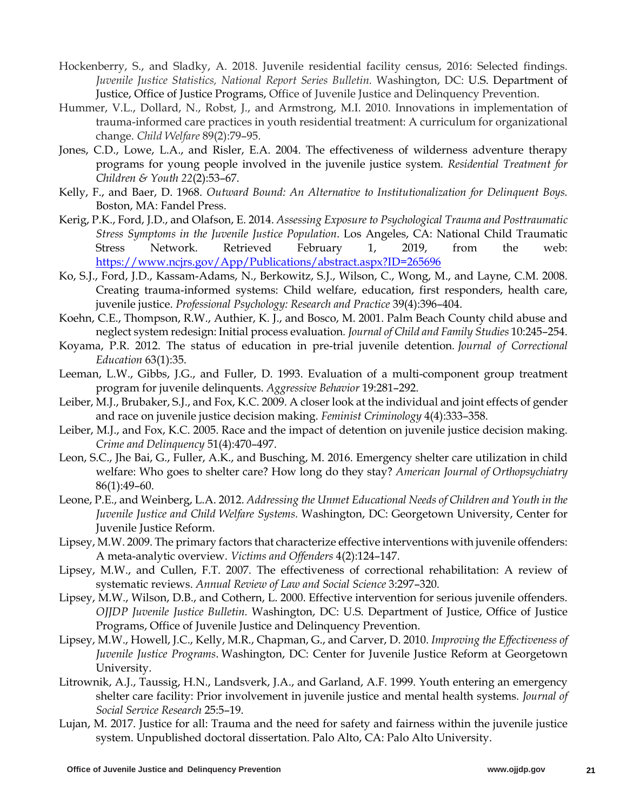- Hockenberry, S., and Sladky, A. 2018. Juvenile residential facility census, 2016: Selected findings. *Juvenile Justice Statistics, National Report Series Bulletin.* Washington, DC: U.S. Department of Justice, Office of Justice Programs, Office of Juvenile Justice and Delinquency Prevention.
- Hummer, V.L., Dollard, N., Robst, J., and Armstrong, M.I. 2010. Innovations in implementation of trauma-informed care practices in youth residential treatment: A curriculum for organizational change. *Child Welfare* 89(2):79–95.
- Jones, C.D., Lowe, L.A., and Risler, E.A. 2004. The effectiveness of wilderness adventure therapy programs for young people involved in the juvenile justice system*. Residential Treatment for Children & Youth 22*(2):53–67.
- Kelly, F., and Baer, D. 1968. *Outward Bound: An Alternative to Institutionalization for Delinquent Boys.* Boston, MA: Fandel Press.
- Kerig, P.K., Ford, J.D., and Olafson, E. 2014. *Assessing Exposure to Psychological Trauma and Posttraumatic Stress Symptoms in the Juvenile Justice Population*. Los Angeles, CA: National Child Traumatic Stress Network. Retrieved February 1, 2019, from the web: https://www.ncjrs.gov/App/Publications/abstract.aspx?ID=265696
- Ko, S.J., Ford, J.D., Kassam-Adams, N., Berkowitz, S.J., Wilson, C., Wong, M., and Layne, C.M. 2008. Creating trauma-informed systems: Child welfare, education, first responders, health care, juvenile justice. *Professional Psychology: Research and Practice* 39(4):396–404.
- Koehn, C.E., Thompson, R.W., Authier, K. J., and Bosco, M. 2001. Palm Beach County child abuse and neglect system redesign: Initial process evaluation*. Journal of Child and Family Studies* 10:245–254.
- Koyama, P.R. 2012. The status of education in pre-trial juvenile detention*. Journal of Correctional Education* 63(1):35.
- Leeman, L.W., Gibbs, J.G., and Fuller, D. 1993. Evaluation of a multi-component group treatment program for juvenile delinquents. *Aggressive Behavior* 19:281–292.
- Leiber, M.J., Brubaker, S.J., and Fox, K.C. 2009. A closer look at the individual and joint effects of gender and race on juvenile justice decision making. *Feminist Criminology* 4(4):333–358.
- Leiber, M.J., and Fox, K.C. 2005. Race and the impact of detention on juvenile justice decision making. *Crime and Delinquency* 51(4):470–497.
- Leon, S.C., Jhe Bai, G., Fuller, A.K., and Busching, M. 2016. Emergency shelter care utilization in child welfare: Who goes to shelter care? How long do they stay? *American Journal of Orthopsychiatry*  86(1):49–60.
- Leone, P.E., and Weinberg, L.A. 2012. *Addressing the Unmet Educational Needs of Children and Youth in the Juvenile Justice and Child Welfare Systems.* Washington, DC: Georgetown University, Center for Juvenile Justice Reform.
- Lipsey, M.W. 2009. The primary factors that characterize effective interventions with juvenile offenders: A meta-analytic overview. *Victims and Offenders* 4(2):124–147.
- Lipsey, M.W., and Cullen, F.T. 2007. The effectiveness of correctional rehabilitation: A review of systematic reviews. *Annual Review of Law and Social Science* 3:297–320.
- Lipsey, M.W., Wilson, D.B., and Cothern, L. 2000. Effective intervention for serious juvenile offenders. *OJJDP Juvenile Justice Bulletin.* Washington, DC: U.S. Department of Justice, Office of Justice Programs, Office of Juvenile Justice and Delinquency Prevention.
- Lipsey, M.W., Howell, J.C., Kelly, M.R., Chapman, G., and Carver, D. 2010. *Improving the Effectiveness of Juvenile Justice Programs*. Washington, DC: Center for Juvenile Justice Reform at Georgetown University.
- Litrownik, A.J., Taussig, H.N., Landsverk, J.A., and Garland, A.F. 1999. Youth entering an emergency shelter care facility: Prior involvement in juvenile justice and mental health systems. *Journal of Social Service Research* 25:5–19.
- Lujan, M. 2017. Justice for all: Trauma and the need for safety and fairness within the juvenile justice system. Unpublished doctoral dissertation. Palo Alto, CA: Palo Alto University.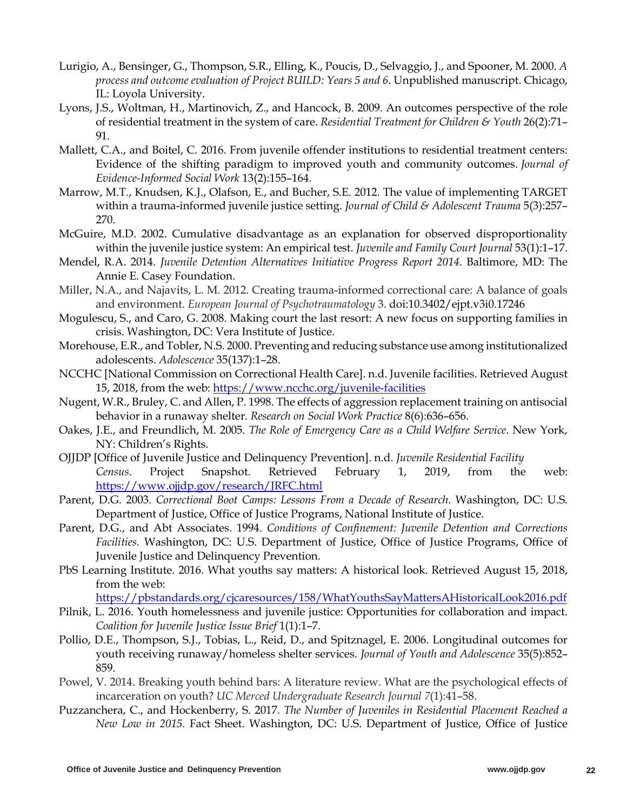- Lurigio, A., Bensinger, G., Thompson, S.R., Elling, K., Poucis, D., Selvaggio, J., and Spooner, M. 2000. *A process and outcome evaluation of Project BUILD: Years 5 and 6*. Unpublished manuscript. Chicago, IL: Loyola University.
- Lyons, J.S., Woltman, H., Martinovich, Z., and Hancock, B. 2009. An outcomes perspective of the role of residential treatment in the system of care. *Residential Treatment for Children & Youth* 26(2):71– 91.
- Mallett, C.A., and Boitel, C. 2016. From juvenile offender institutions to residential treatment centers: Evidence of the shifting paradigm to improved youth and community outcomes. *Journal of Evidence-Informed Social Work* 13(2):155–164.
- Marrow, M.T., Knudsen, K.J., Olafson, E., and Bucher, S.E. 2012. The value of implementing TARGET within a trauma-informed juvenile justice setting. *Journal of Child & Adolescent Trauma* 5(3):257– 270.
- McGuire, M.D. 2002. Cumulative disadvantage as an explanation for observed disproportionality within the juvenile justice system: An empirical test. *Juvenile and Family Court Journal* 53(1):1–17.
- Mendel, R.A. 2014. *Juvenile Detention Alternatives Initiative Progress Report 2014.* Baltimore, MD: The Annie E. Casey Foundation.
- Miller, N.A., and Najavits, L. M. 2012. Creating trauma-informed correctional care: A balance of goals and environment. *European Journal of Psychotraumatology* 3. doi:10.3402/ejpt.v3i0.17246
- Mogulescu, S., and Caro, G. 2008. Making court the last resort: A new focus on supporting families in crisis. Washington, DC: Vera Institute of Justice.
- Morehouse, E.R., and Tobler, N.S. 2000. Preventing and reducing substance use among institutionalized adolescents. *Adolescence* 35(137):1–28.
- NCCHC [National Commission on Correctional Health Care]. n.d. Juvenile facilities. Retrieved August 15, 2018, from the web: https://www.ncchc.org/juvenile-facilities
- Nugent, W.R., Bruley, C. and Allen, P. 1998. The effects of aggression replacement training on antisocial behavior in a runaway shelter. *Research on Social Work Practice* 8(6):636–656.
- Oakes, J.E., and Freundlich, M. 2005. *The Role of Emergency Care as a Child Welfare Service*. New York, NY: Children's Rights.
- OJJDP [Office of Juvenile Justice and Delinquency Prevention]. n.d. *Juvenile Residential Facility Census*. Project Snapshot. Retrieved February 1, 2019, from the web: https://www.ojjdp.gov/research/JRFC.html
- Parent, D.G. 2003. *Correctional Boot Camps: Lessons From a Decade of Research.* Washington, DC: U.S. Department of Justice, Office of Justice Programs, National Institute of Justice.
- Parent, D.G., and Abt Associates. 1994. *Conditions of Confinement: Juvenile Detention and Corrections Facilities.* Washington, DC: U.S. Department of Justice, Office of Justice Programs, Office of Juvenile Justice and Delinquency Prevention.
- PbS Learning Institute. 2016. What youths say matters: A historical look. Retrieved August 15, 2018, from the web:

https://pbstandards.org/cjcaresources/158/WhatYouthsSayMattersAHistoricalLook2016.pdf

- Pilnik, L. 2016. Youth homelessness and juvenile justice: Opportunities for collaboration and impact. *Coalition for Juvenile Justice Issue Brief* 1(1):1–7.
- Pollio, D.E., Thompson, S.J., Tobias, L., Reid, D., and Spitznagel, E. 2006. Longitudinal outcomes for youth receiving runaway/homeless shelter services. *Journal of Youth and Adolescence* 35(5):852– 859.
- Powel, V. 2014. Breaking youth behind bars: A literature review. What are the psychological effects of incarceration on youth? *UC Merced Undergraduate Research Journal 7*(1):41–58.
- Puzzanchera, C., and Hockenberry, S. 2017. *The Number of Juveniles in Residential Placement Reached a New Low in 2015.* Fact Sheet. Washington, DC: U.S. Department of Justice, Office of Justice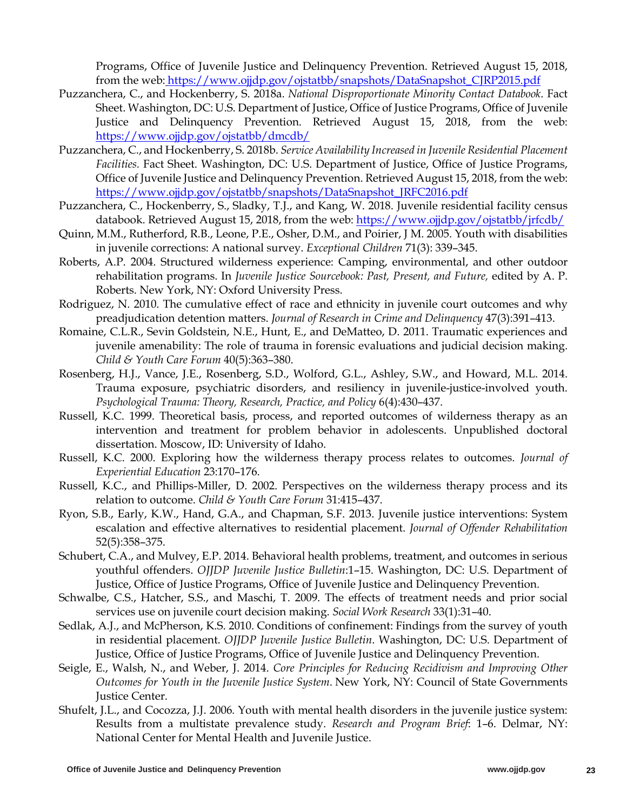Programs, Office of Juvenile Justice and Delinquency Prevention. Retrieved August 15, 2018, from the web: https://www.ojjdp.gov/ojstatbb/snapshots/DataSnapshot\_CJRP2015.pdf

- Puzzanchera, C., and Hockenberry, S. 2018a. *National Disproportionate Minority Contact Databook*. Fact Sheet. Washington, DC: U.S. Department of Justice, Office of Justice Programs, Office of Juvenile Justice and Delinquency Prevention. Retrieved August 15, 2018, from the web: https://www.ojjdp.gov/ojstatbb/dmcdb/
- Puzzanchera, C., and Hockenberry, S. 2018b. *Service Availability Increased in Juvenile Residential Placement Facilities.* Fact Sheet. Washington, DC: U.S. Department of Justice, Office of Justice Programs, Office of Juvenile Justice and Delinquency Prevention. Retrieved August 15, 2018, from the web: https://www.ojjdp.gov/ojstatbb/snapshots/DataSnapshot\_JRFC2016.pdf
- Puzzanchera, C., Hockenberry, S., Sladky, T.J., and Kang, W. 2018. Juvenile residential facility census databook. Retrieved August 15, 2018, from the web: https://www.ojjdp.gov/ojstatbb/jrfcdb/
- Quinn, M.M., Rutherford, R.B., Leone, P.E., Osher, D.M., and Poirier, J M. 2005. Youth with disabilities in juvenile corrections: A national survey. *Exceptional Children* 71(3): 339–345.
- Roberts, A.P. 2004. Structured wilderness experience: Camping, environmental, and other outdoor rehabilitation programs. In *Juvenile Justice Sourcebook: Past, Present, and Future,* edited by A. P. Roberts. New York, NY: Oxford University Press.
- Rodriguez, N. 2010. The cumulative effect of race and ethnicity in juvenile court outcomes and why preadjudication detention matters. *Journal of Research in Crime and Delinquency* 47(3):391–413.
- Romaine, C.L.R., Sevin Goldstein, N.E., Hunt, E., and DeMatteo, D. 2011. Traumatic experiences and juvenile amenability: The role of trauma in forensic evaluations and judicial decision making. *Child & Youth Care Forum* 40(5):363–380.
- Rosenberg, H.J., Vance, J.E., Rosenberg, S.D., Wolford, G.L., Ashley, S.W., and Howard, M.L. 2014. Trauma exposure, psychiatric disorders, and resiliency in juvenile-justice-involved youth. *Psychological Trauma: Theory, Research, Practice, and Policy* 6(4):430–437.
- Russell, K.C. 1999. Theoretical basis, process, and reported outcomes of wilderness therapy as an intervention and treatment for problem behavior in adolescents. Unpublished doctoral dissertation. Moscow, ID: University of Idaho.
- Russell, K.C. 2000. Exploring how the wilderness therapy process relates to outcomes. *Journal of Experiential Education* 23:170–176.
- Russell, K.C., and Phillips-Miller, D. 2002. Perspectives on the wilderness therapy process and its relation to outcome. *Child & Youth Care Forum* 31:415–437.
- Ryon, S.B., Early, K.W., Hand, G.A., and Chapman, S.F. 2013. Juvenile justice interventions: System escalation and effective alternatives to residential placement. *Journal of Offender Rehabilitation* 52(5):358–375.
- Schubert, C.A., and Mulvey, E.P. 2014. Behavioral health problems, treatment, and outcomes in serious youthful offenders. *OJJDP Juvenile Justice Bulletin*:1–15. Washington, DC: U.S. Department of Justice, Office of Justice Programs, Office of Juvenile Justice and Delinquency Prevention.
- Schwalbe, C.S., Hatcher, S.S., and Maschi, T. 2009. The effects of treatment needs and prior social services use on juvenile court decision making. *Social Work Research* 33(1):31–40.
- Sedlak, A.J., and McPherson, K.S. 2010. Conditions of confinement: Findings from the survey of youth in residential placement. *OJJDP Juvenile Justice Bulletin*. Washington, DC: U.S. Department of Justice, Office of Justice Programs, Office of Juvenile Justice and Delinquency Prevention.
- Seigle, E., Walsh, N., and Weber, J. 2014. *Core Principles for Reducing Recidivism and Improving Other Outcomes for Youth in the Juvenile Justice System*. New York, NY: Council of State Governments Justice Center.
- Shufelt, J.L., and Cocozza, J.J. 2006. Youth with mental health disorders in the juvenile justice system: Results from a multistate prevalence study. *Research and Program Brief*: 1–6. Delmar, NY: National Center for Mental Health and Juvenile Justice.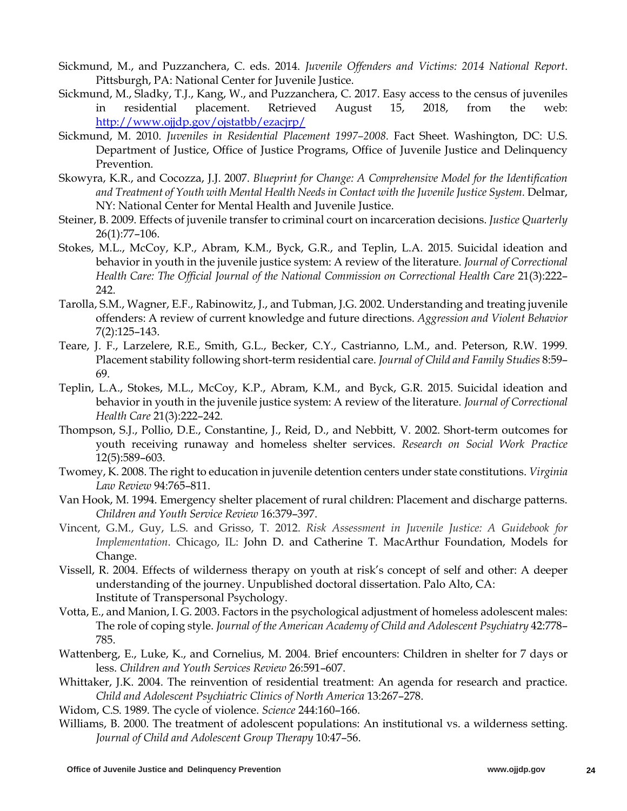- Sickmund, M., and Puzzanchera, C. eds. 2014. *Juvenile Offenders and Victims: 2014 National Report*. Pittsburgh, PA: National Center for Juvenile Justice.
- Sickmund, M., Sladky, T.J., Kang, W., and Puzzanchera, C. 2017. Easy access to the census of juveniles in residential placement. Retrieved August 15, 2018, from the web: http://www.ojjdp.gov/ojstatbb/ezacjrp/
- Sickmund, M. 2010. *Juveniles in Residential Placement 1997–2008.* Fact Sheet. Washington, DC: U.S. Department of Justice, Office of Justice Programs, Office of Juvenile Justice and Delinquency Prevention.
- Skowyra, K.R., and Cocozza, J.J. 2007. *Blueprint for Change: A Comprehensive Model for the Identification and Treatment of Youth with Mental Health Needs in Contact with the Juvenile Justice System.* Delmar, NY: National Center for Mental Health and Juvenile Justice.
- Steiner, B. 2009. Effects of juvenile transfer to criminal court on incarceration decisions. *Justice Quarterly* 26(1):77–106.
- Stokes, M.L., McCoy, K.P., Abram, K.M., Byck, G.R., and Teplin, L.A. 2015. Suicidal ideation and behavior in youth in the juvenile justice system: A review of the literature. *Journal of Correctional Health Care: The Official Journal of the National Commission on Correctional Health Care* 21(3):222– 242.
- Tarolla, S.M., Wagner, E.F., Rabinowitz, J., and Tubman, J.G. 2002. Understanding and treating juvenile offenders: A review of current knowledge and future directions. *Aggression and Violent Behavior* 7(2):125–143.
- Teare, J. F., Larzelere, R.E., Smith, G.L., Becker, C.Y., Castrianno, L.M., and. Peterson, R.W. 1999. Placement stability following short-term residential care. *Journal of Child and Family Studies* 8:59– 69.
- Teplin, L.A., Stokes, M.L., McCoy, K.P., Abram, K.M., and Byck, G.R. 2015. Suicidal ideation and behavior in youth in the juvenile justice system: A review of the literature. *Journal of Correctional Health Care* 21(3):222–242.
- Thompson, S.J., Pollio, D.E., Constantine, J., Reid, D., and Nebbitt, V. 2002. Short-term outcomes for youth receiving runaway and homeless shelter services. *Research on Social Work Practice*  12(5):589–603.
- Twomey, K. 2008. The right to education in juvenile detention centers under state constitutions. *Virginia Law Review* 94:765–811.
- Van Hook, M. 1994. Emergency shelter placement of rural children: Placement and discharge patterns. *Children and Youth Service Review* 16:379–397.
- Vincent, G.M., Guy, L.S. and Grisso, T. 2012. *Risk Assessment in Juvenile Justice: A Guidebook for Implementation*. Chicago, IL: John D. and Catherine T. MacArthur Foundation, Models for Change.
- Vissell, R. 2004. Effects of wilderness therapy on youth at risk's concept of self and other: A deeper understanding of the journey. Unpublished doctoral dissertation. Palo Alto, CA: Institute of Transpersonal Psychology.
- Votta, E., and Manion, I. G. 2003. Factors in the psychological adjustment of homeless adolescent males: The role of coping style. *Journal of the American Academy of Child and Adolescent Psychiatry* 42:778– 785.
- Wattenberg, E., Luke, K., and Cornelius, M. 2004. Brief encounters: Children in shelter for 7 days or less. *Children and Youth Services Review* 26:591–607.
- Whittaker, J.K. 2004. The reinvention of residential treatment: An agenda for research and practice. *Child and Adolescent Psychiatric Clinics of North America* 13:267–278.
- Widom, C.S. 1989. The cycle of violence. *Science* 244:160–166.
- Williams, B. 2000. The treatment of adolescent populations: An institutional vs. a wilderness setting. *Journal of Child and Adolescent Group Therapy* 10:47–56.